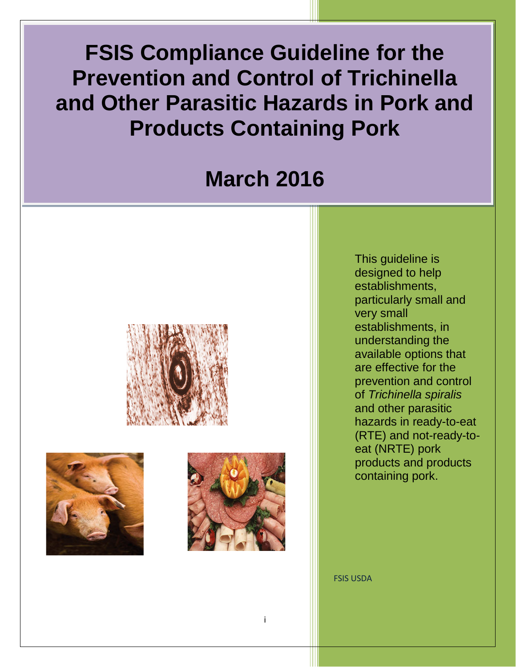Ľ **FSIS Compliance Guideline for the Prevention and Control of Trichinella and Other Parasitic Hazards in Pork and Products Containing Pork**

# **March 2016**







This guideline is designed to help establishments, particularly small and very small establishments, in understanding the available options that are effective for the prevention and control of *Trichinella spiralis* and other parasitic hazards in ready-to-eat (RTE) and not-ready-toeat (NRTE) pork products and products containing pork.

FSIS USDA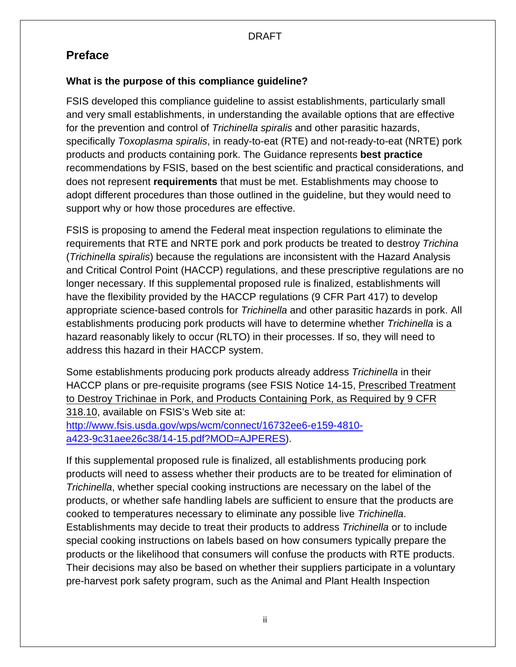## <span id="page-1-0"></span>**Preface**

## **What is the purpose of this compliance guideline?**

FSIS developed this compliance guideline to assist establishments, particularly small and very small establishments, in understanding the available options that are effective for the prevention and control of *Trichinella spiralis* and other parasitic hazards, specifically *Toxoplasma spiralis*, in ready-to-eat (RTE) and not-ready-to-eat (NRTE) pork products and products containing pork. The Guidance represents **best practice** recommendations by FSIS, based on the best scientific and practical considerations, and does not represent **requirements** that must be met. Establishments may choose to adopt different procedures than those outlined in the guideline, but they would need to support why or how those procedures are effective.

FSIS is proposing to amend the Federal meat inspection regulations to eliminate the requirements that RTE and NRTE pork and pork products be treated to destroy *Trichina* (*Trichinella spiralis*) because the regulations are inconsistent with the Hazard Analysis and Critical Control Point (HACCP) regulations, and these prescriptive regulations are no longer necessary. If this supplemental proposed rule is finalized, establishments will have the flexibility provided by the HACCP regulations (9 CFR Part 417) to develop appropriate science-based controls for *Trichinella* and other parasitic hazards in pork. All establishments producing pork products will have to determine whether *Trichinella* is a hazard reasonably likely to occur (RLTO) in their processes. If so, they will need to address this hazard in their HACCP system.

Some establishments producing pork products already address *Trichinella* in their HACCP plans or pre-requisite programs (see FSIS Notice 14-15, Prescribed Treatment to Destroy Trichinae in Pork, and Products Containing Pork, as Required by 9 CFR 318.10, available on FSIS's Web site at: [http://www.fsis.usda.gov/wps/wcm/connect/16732ee6-e159-4810](http://www.fsis.usda.gov/wps/wcm/connect/16732ee6-e159-4810-a423-9c31aee26c38/14-15.pdf?MOD=AJPERES&CONVERT_TO=url&CACHEID=16732ee6-e159-4810-a423-9c31aee26c38) [a423-9c31aee26c38/14-15.pdf?MOD=AJPERES\).](http://www.fsis.usda.gov/wps/wcm/connect/16732ee6-e159-4810-a423-9c31aee26c38/14-15.pdf?MOD=AJPERES&CONVERT_TO=url&CACHEID=16732ee6-e159-4810-a423-9c31aee26c38) 

[If this supplemental proposed rul](http://www.fsis.usda.gov/wps/wcm/connect/16732ee6-e159-4810-a423-9c31aee26c38/14-15.pdf?MOD=AJPERES&CONVERT_TO=url&CACHEID=16732ee6-e159-4810-a423-9c31aee26c38)e is finalized, all establishments producing pork products will need to assess whether their products are to be treated for elimination of *Trichinella*, whether special cooking instructions are necessary on the label of the products, or whether safe handling labels are sufficient to ensure that the products are cooked to temperatures necessary to eliminate any possible live *Trichinella*. Establishments may decide to treat their products to address *Trichinella* or to include special cooking instructions on labels based on how consumers typically prepare the products or the likelihood that consumers will confuse the products with RTE products. Their decisions may also be based on whether their suppliers participate in a voluntary pre-harvest pork safety program, such as the Animal and Plant Health Inspection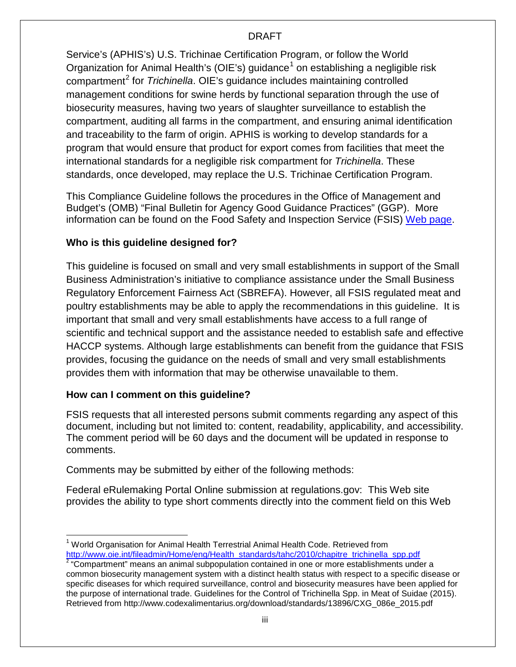Service's (APHIS's) U.S. Trichinae Certification Program, or follow the World Organization for Animal Health's (OIE's) guidance<sup>[1](#page-2-0)</sup> on establishing a negligible risk compartment[2](#page-2-1) for *Trichinella*. OIE's guidance includes maintaining controlled management conditions for swine herds by functional separation through the use of biosecurity measures, having two years of slaughter surveillance to establish the compartment, auditing all farms in the compartment, and ensuring animal identification and traceability to the farm of origin. APHIS is working to develop standards for a program that would ensure that product for export comes from facilities that meet the international standards for a negligible risk compartment for *Trichinella*. These standards, once developed, may replace the U.S. Trichinae Certification Program.

This Compliance Guideline follows the procedures in the Office of Management and Budget's (OMB) "Final Bulletin for Agency Good Guidance Practices" (GGP). More information can be found on the Food Safety and Inspection Service (FSIS) [Web page.](http://www.fsis.usda.gov/wps/portal/footer/policies-and-links/significant-guidance-documents)

## **Who is this guideline designed for?**

This guideline is focused on small and very small establishments in support of the Small Business Administration's initiative to compliance assistance under the Small Business Regulatory Enforcement Fairness Act (SBREFA). However, all FSIS regulated meat and poultry establishments may be able to apply the recommendations in this guideline. It is important that small and very small establishments have access to a full range of scientific and technical support and the assistance needed to establish safe and effective HACCP systems. Although large establishments can benefit from the guidance that FSIS provides, focusing the guidance on the needs of small and very small establishments provides them with information that may be otherwise unavailable to them.

## **How can I comment on this guideline?**

FSIS requests that all interested persons submit comments regarding any aspect of this document, including but not limited to: content, readability, applicability, and accessibility. The comment period will be 60 days and the document will be updated in response to comments.

Comments may be submitted by either of the following methods:

Federal eRulemaking Portal Online submission at regulations.gov: This Web site provides the ability to type short comments directly into the comment field on this Web

<span id="page-2-0"></span> $<sup>1</sup>$  World Organisation for Animal Health Terrestrial Animal Health Code. Retrieved from</sup> [http://www.oie.int/fileadmin/Home/eng/Health\\_standards/tahc/2010/chapitre\\_trichinella\\_spp.pdf](http://www.oie.int/fileadmin/Home/eng/Health_standards/tahc/2010/chapitre_trichinella_spp.pdf)

<span id="page-2-1"></span><sup>&</sup>lt;sup>2</sup> "Compartment" means an animal subpopulation contained in one or more establishments under a common biosecurity management system with a distinct health status with respect to a specific disease or specific diseases for which required surveillance, control and biosecurity measures have been applied for the purpose of international trade. Guidelines for the Control of Trichinella Spp. in Meat of Suidae (2015). Retrieved from http://www.codexalimentarius.org/download/standards/13896/CXG\_086e\_2015.pdf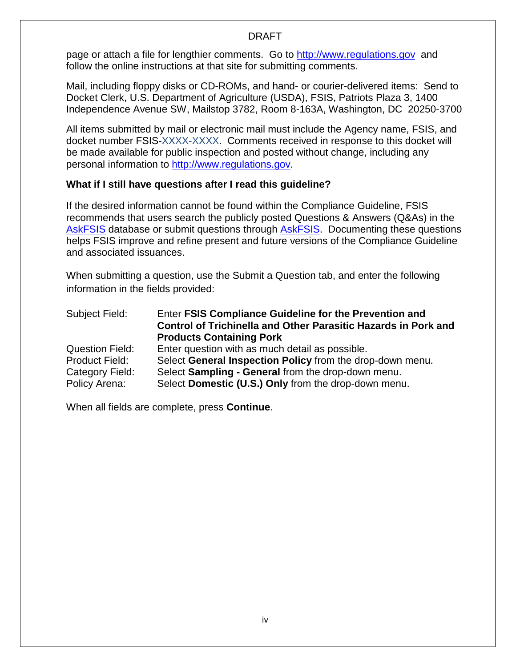page or attach a file for lengthier comments. Go to [http://www.regulations.gov](http://www.regulations.gov/) and follow the online instructions at that site for submitting comments.

Mail, including floppy disks or CD-ROMs, and hand- or courier-delivered items: Send to Docket Clerk, U.S. Department of Agriculture (USDA), FSIS, Patriots Plaza 3, 1400 Independence Avenue SW, Mailstop 3782, Room 8-163A, Washington, DC 20250-3700

All items submitted by mail or electronic mail must include the Agency name, FSIS, and docket number FSIS-XXXX-XXXX. Comments received in response to this docket will be made available for public inspection and posted without change, including any personal information to [http://www.regulations.gov.](http://www.regulations.gov/)

## **What if I still have questions after I read this guideline?**

If the desired information cannot be found within the Compliance Guideline, FSIS recommends that users search the publicly posted Questions & Answers (Q&As) in the [AskFSIS](http://askfsis.custhelp.com/) database or submit questions through **AskFSIS**. Documenting these questions helps FSIS improve and refine present and future versions of the Compliance Guideline and associated issuances.

When submitting a question, use the Submit a Question tab, and enter the following information in the fields provided:

| Subject Field:         | Enter FSIS Compliance Guideline for the Prevention and<br><b>Control of Trichinella and Other Parasitic Hazards in Pork and</b><br><b>Products Containing Pork</b> |
|------------------------|--------------------------------------------------------------------------------------------------------------------------------------------------------------------|
| <b>Question Field:</b> | Enter question with as much detail as possible.                                                                                                                    |
| Product Field:         | Select General Inspection Policy from the drop-down menu.                                                                                                          |
| Category Field:        | Select Sampling - General from the drop-down menu.                                                                                                                 |
| Policy Arena:          | Select Domestic (U.S.) Only from the drop-down menu.                                                                                                               |

When all fields are complete, press **Continue**.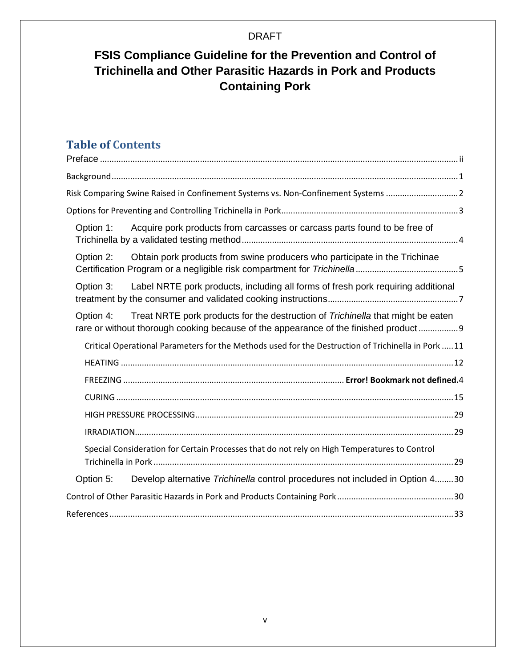## **FSIS Compliance Guideline for the Prevention and Control of Trichinella and Other Parasitic Hazards in Pork and Products Containing Pork**

## **Table of Contents**

| Risk Comparing Swine Raised in Confinement Systems vs. Non-Confinement Systems 2                                                                                                  |  |
|-----------------------------------------------------------------------------------------------------------------------------------------------------------------------------------|--|
|                                                                                                                                                                                   |  |
| Acquire pork products from carcasses or carcass parts found to be free of<br>Option 1:                                                                                            |  |
| Option 2:<br>Obtain pork products from swine producers who participate in the Trichinae                                                                                           |  |
| Label NRTE pork products, including all forms of fresh pork requiring additional<br>Option 3:                                                                                     |  |
| Option 4: Treat NRTE pork products for the destruction of Trichinella that might be eaten<br>rare or without thorough cooking because of the appearance of the finished product 9 |  |
| Critical Operational Parameters for the Methods used for the Destruction of Trichinella in Pork  11                                                                               |  |
|                                                                                                                                                                                   |  |
|                                                                                                                                                                                   |  |
|                                                                                                                                                                                   |  |
|                                                                                                                                                                                   |  |
|                                                                                                                                                                                   |  |
| Special Consideration for Certain Processes that do not rely on High Temperatures to Control                                                                                      |  |
| Develop alternative Trichinella control procedures not included in Option 430<br>Option 5:                                                                                        |  |
|                                                                                                                                                                                   |  |
|                                                                                                                                                                                   |  |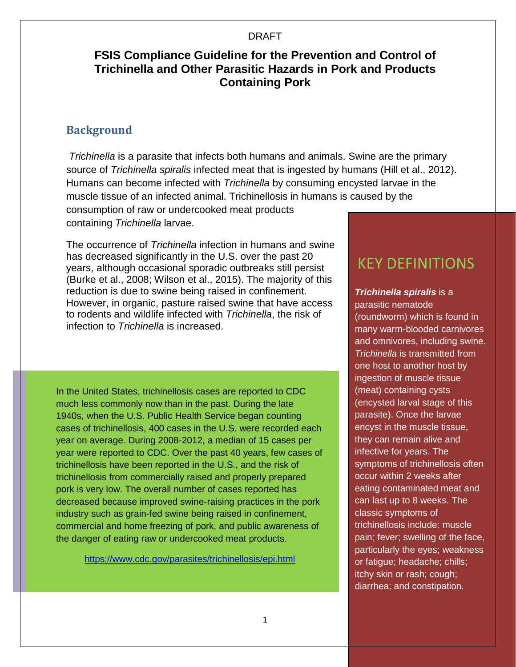## **FSIS Compliance Guideline for the Prevention and Control of Trichinella and Other Parasitic Hazards in Pork and Products Containing Pork**

## <span id="page-5-0"></span>**Background**

*Trichinella* is a parasite that infects both humans and animals. Swine are the primary source of *Trichinella spiralis* infected meat that is ingested by humans (Hill et al., 2012). Humans can become infected with *Trichinella* by consuming encysted larvae in the muscle tissue of an infected animal. Trichinellosis in humans is caused by the consumption of raw or undercooked meat products

containing *Trichinella* larvae.

The occurrence of *Trichinella* infection in humans and swine has decreased significantly in the U.S. over the past 20 years, although occasional sporadic outbreaks still persist (Burke et al., 2008; Wilson et al., 2015). The majority of this reduction is due to swine being raised in confinement. However, in organic, pasture raised swine that have access to rodents and wildlife infected with *Trichinella*, the risk of infection to *Trichinella* is increased.

In the United States, trichinellosis cases are reported to CDC much less commonly now than in the past. During the late 1940s, when the U.S. Public Health Service began counting cases of trichinellosis, 400 cases in the U.S. were recorded each year on average. During 2008-2012, a median of 15 cases per year were reported to CDC. Over the past 40 years, few cases of trichinellosis have been reported in the U.S., and the risk of trichinellosis from commercially raised and properly prepared pork is very low. The overall number of cases reported has decreased because improved swine-raising practices in the pork industry such as grain-fed swine being raised in confinement, commercial and home freezing of pork, and public awareness of the danger of eating raw or undercooked meat products.

<https://www.cdc.gov/parasites/trichinellosis/epi.html>

## KEY DEFINITIONS

*Trichinella spiralis* is a parasitic nematode (roundworm) which is found in many warm-blooded carnivores and omnivores, including swine. *Trichinella* is transmitted from one host to another host by ingestion of muscle tissue (meat) containing cysts (encysted larval stage of this parasite). Once the larvae encyst in the muscle tissue, they can remain alive and infective for years. The symptoms of trichinellosis often occur within 2 weeks after eating contaminated meat and can last up to 8 weeks. The classic symptoms of trichinellosis include: muscle pain; fever; swelling of the face, particularly the eyes; weakness or fatigue; headache; chills; itchy skin or rash; cough; diarrhea; and constipation.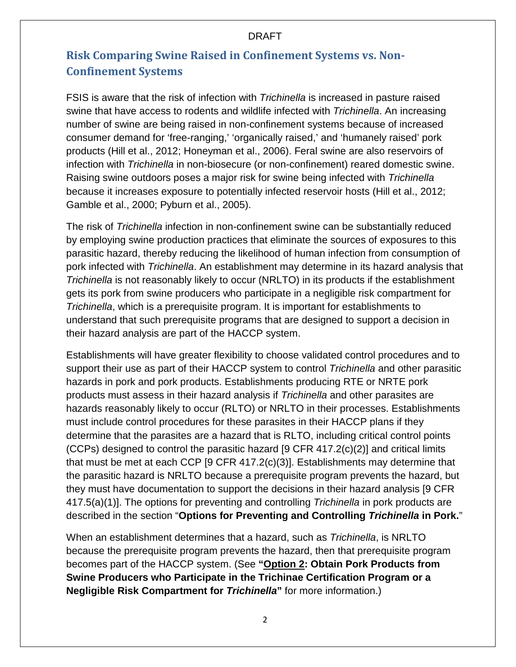## <span id="page-6-0"></span>**Risk Comparing Swine Raised in Confinement Systems vs. Non-Confinement Systems**

FSIS is aware that the risk of infection with *Trichinella* is increased in pasture raised swine that have access to rodents and wildlife infected with *Trichinella*. An increasing number of swine are being raised in non-confinement systems because of increased consumer demand for 'free-ranging,' 'organically raised,' and 'humanely raised' pork products (Hill et al., 2012; Honeyman et al., 2006). Feral swine are also reservoirs of infection with *Trichinella* in non-biosecure (or non-confinement) reared domestic swine. Raising swine outdoors poses a major risk for swine being infected with *Trichinella* because it increases exposure to potentially infected reservoir hosts (Hill et al., 2012; Gamble et al., 2000; Pyburn et al., 2005).

The risk of *Trichinella* infection in non-confinement swine can be substantially reduced by employing swine production practices that eliminate the sources of exposures to this parasitic hazard, thereby reducing the likelihood of human infection from consumption of pork infected with *Trichinella*. An establishment may determine in its hazard analysis that *Trichinella* is not reasonably likely to occur (NRLTO) in its products if the establishment gets its pork from swine producers who participate in a negligible risk compartment for *Trichinella*, which is a prerequisite program. It is important for establishments to understand that such prerequisite programs that are designed to support a decision in their hazard analysis are part of the HACCP system.

Establishments will have greater flexibility to choose validated control procedures and to support their use as part of their HACCP system to control *Trichinella* and other parasitic hazards in pork and pork products. Establishments producing RTE or NRTE pork products must assess in their hazard analysis if *Trichinella* and other parasites are hazards reasonably likely to occur (RLTO) or NRLTO in their processes. Establishments must include control procedures for these parasites in their HACCP plans if they determine that the parasites are a hazard that is RLTO, including critical control points (CCPs) designed to control the parasitic hazard [9 CFR 417.2(c)(2)] and critical limits that must be met at each CCP [9 CFR 417.2(c)(3)]. Establishments may determine that the parasitic hazard is NRLTO because a prerequisite program prevents the hazard, but they must have documentation to support the decisions in their hazard analysis [9 CFR 417.5(a)(1)]. The options for preventing and controlling *Trichinella* in pork products are described in the section "**Options for Preventing and Controlling** *Trichinella* **in Pork.**"

When an establishment determines that a hazard, such as *Trichinella*, is NRLTO because the prerequisite program prevents the hazard, then that prerequisite program becomes part of the HACCP system. (See **"Option 2: Obtain Pork Products from Swine Producers who Participate in the Trichinae Certification Program or a Negligible Risk Compartment for** *Trichinella***"** for more information.)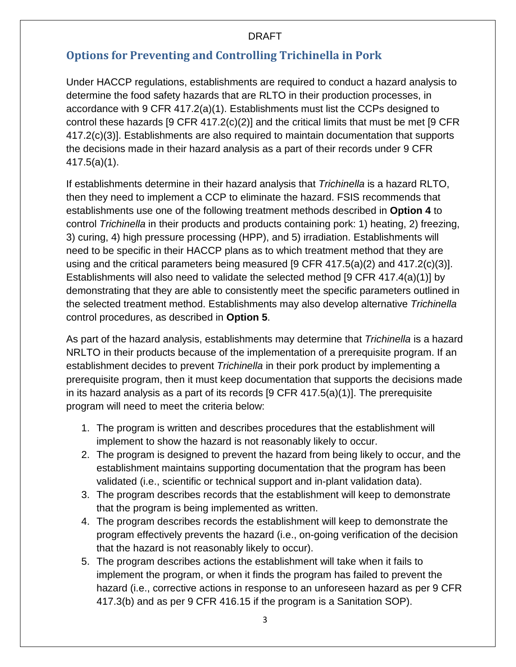## <span id="page-7-0"></span>**Options for Preventing and Controlling Trichinella in Pork**

Under HACCP regulations, establishments are required to conduct a hazard analysis to determine the food safety hazards that are RLTO in their production processes, in accordance with 9 CFR 417.2(a)(1). Establishments must list the CCPs designed to control these hazards [9 CFR 417.2(c)(2)] and the critical limits that must be met [9 CFR 417.2(c)(3)]. Establishments are also required to maintain documentation that supports the decisions made in their hazard analysis as a part of their records under 9 CFR 417.5(a)(1).

If establishments determine in their hazard analysis that *Trichinella* is a hazard RLTO, then they need to implement a CCP to eliminate the hazard. FSIS recommends that establishments use one of the following treatment methods described in **Option 4** to control *Trichinella* in their products and products containing pork: 1) heating, 2) freezing, 3) curing, 4) high pressure processing (HPP), and 5) irradiation. Establishments will need to be specific in their HACCP plans as to which treatment method that they are using and the critical parameters being measured [9 CFR 417.5(a)(2) and 417.2(c)(3)]. Establishments will also need to validate the selected method [9 CFR 417.4(a)(1)] by demonstrating that they are able to consistently meet the specific parameters outlined in the selected treatment method. Establishments may also develop alternative *Trichinella* control procedures, as described in **[Option 5](#page-34-2)**.

As part of the hazard analysis, establishments may determine that *Trichinella* is a hazard NRLTO in their products because of the implementation of a prerequisite program. If an establishment decides to prevent *Trichinella* in their pork product by implementing a prerequisite program, then it must keep documentation that supports the decisions made in its hazard analysis as a part of its records [9 CFR 417.5(a)(1)]. The prerequisite program will need to meet the criteria below:

- 1. The program is written and describes procedures that the establishment will implement to show the hazard is not reasonably likely to occur.
- 2. The program is designed to prevent the hazard from being likely to occur, and the establishment maintains supporting documentation that the program has been validated (i.e., scientific or technical support and in-plant validation data).
- 3. The program describes records that the establishment will keep to demonstrate that the program is being implemented as written.
- 4. The program describes records the establishment will keep to demonstrate the program effectively prevents the hazard (i.e., on-going verification of the decision that the hazard is not reasonably likely to occur).
- 5. The program describes actions the establishment will take when it fails to implement the program, or when it finds the program has failed to prevent the hazard (i.e., corrective actions in response to an unforeseen hazard as per 9 CFR 417.3(b) and as per 9 CFR 416.15 if the program is a Sanitation SOP).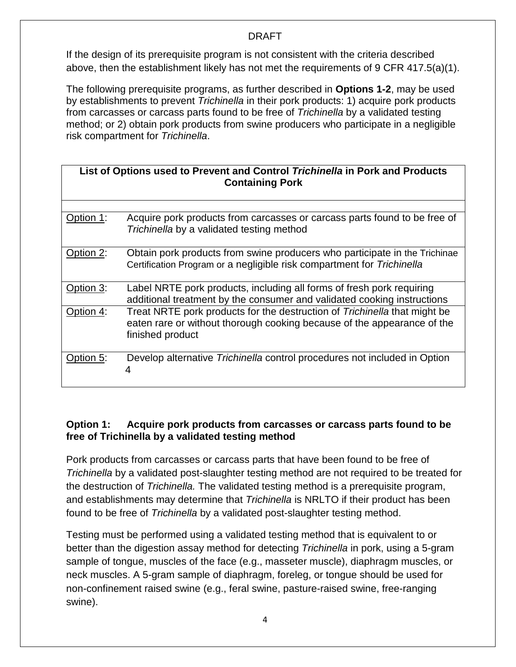If the design of its prerequisite program is not consistent with the criteria described above, then the establishment likely has not met the requirements of 9 CFR 417.5(a)(1).

The following prerequisite programs, as further described in **Options 1-2**, may be used by establishments to prevent *Trichinella* in their pork products: 1) acquire pork products from carcasses or carcass parts found to be free of *Trichinella* by a validated testing method; or 2) obtain pork products from swine producers who participate in a negligible risk compartment for *Trichinella*.

| List of Options used to Prevent and Control Trichinella in Pork and Products<br><b>Containing Pork</b> |                                                                                                                                                                          |  |  |
|--------------------------------------------------------------------------------------------------------|--------------------------------------------------------------------------------------------------------------------------------------------------------------------------|--|--|
|                                                                                                        |                                                                                                                                                                          |  |  |
| Option 1:                                                                                              | Acquire pork products from carcasses or carcass parts found to be free of<br>Trichinella by a validated testing method                                                   |  |  |
| Option 2:                                                                                              | Obtain pork products from swine producers who participate in the Trichinae<br>Certification Program or a negligible risk compartment for Trichinella                     |  |  |
| Option 3:                                                                                              | Label NRTE pork products, including all forms of fresh pork requiring<br>additional treatment by the consumer and validated cooking instructions                         |  |  |
| Option 4:                                                                                              | Treat NRTE pork products for the destruction of Trichinella that might be<br>eaten rare or without thorough cooking because of the appearance of the<br>finished product |  |  |
| Option 5:                                                                                              | Develop alternative <i>Trichinella</i> control procedures not included in Option<br>4                                                                                    |  |  |

## <span id="page-8-0"></span>**Option 1: Acquire pork products from carcasses or carcass parts found to be free of Trichinella by a validated testing method**

Pork products from carcasses or carcass parts that have been found to be free of *Trichinella* by a validated post-slaughter testing method are not required to be treated for the destruction of *Trichinella.* The validated testing method is a prerequisite program, and establishments may determine that *Trichinella* is NRLTO if their product has been found to be free of *Trichinella* by a validated post-slaughter testing method.

Testing must be performed using a validated testing method that is equivalent to or better than the digestion assay method for detecting *Trichinella* in pork, using a 5-gram sample of tongue, muscles of the face (e.g., masseter muscle), diaphragm muscles, or neck muscles. A 5-gram sample of diaphragm, foreleg, or tongue should be used for non-confinement raised swine (e.g., feral swine, pasture-raised swine, free-ranging swine).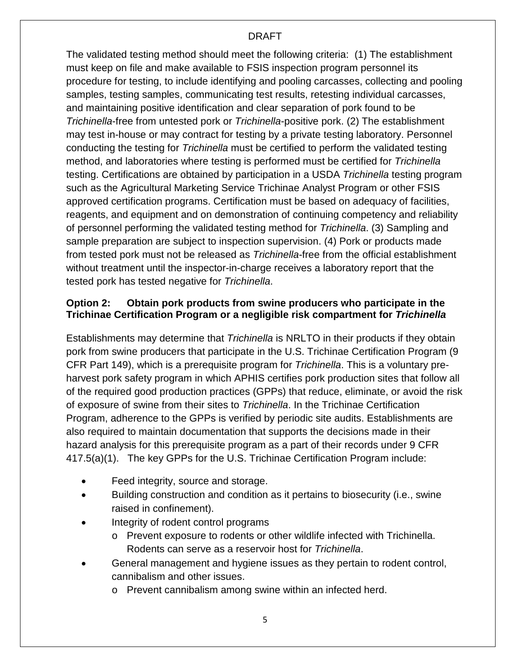The validated testing method should meet the following criteria: (1) The establishment must keep on file and make available to FSIS inspection program personnel its procedure for testing, to include identifying and pooling carcasses, collecting and pooling samples, testing samples, communicating test results, retesting individual carcasses, and maintaining positive identification and clear separation of pork found to be *Trichinella*-free from untested pork or *Trichinella*-positive pork. (2) The establishment may test in-house or may contract for testing by a private testing laboratory. Personnel conducting the testing for *Trichinella* must be certified to perform the validated testing method, and laboratories where testing is performed must be certified for *Trichinella* testing. Certifications are obtained by participation in a USDA *Trichinella* testing program such as the Agricultural Marketing Service Trichinae Analyst Program or other FSIS approved certification programs. Certification must be based on adequacy of facilities, reagents, and equipment and on demonstration of continuing competency and reliability of personnel performing the validated testing method for *Trichinella*. (3) Sampling and sample preparation are subject to inspection supervision. (4) Pork or products made from tested pork must not be released as *Trichinella*-free from the official establishment without treatment until the inspector-in-charge receives a laboratory report that the tested pork has tested negative for *Trichinella*.

## <span id="page-9-0"></span>**Option 2: Obtain pork products from swine producers who participate in the Trichinae Certification Program or a negligible risk compartment for** *Trichinella*

Establishments may determine that *Trichinella* is NRLTO in their products if they obtain pork from swine producers that participate in the U.S. Trichinae Certification Program (9 CFR Part 149), which is a prerequisite program for *Trichinella*. This is a voluntary preharvest pork safety program in which APHIS certifies pork production sites that follow all of the required good production practices (GPPs) that reduce, eliminate, or avoid the risk of exposure of swine from their sites to *Trichinella*. In the Trichinae Certification Program, adherence to the GPPs is verified by periodic site audits. Establishments are also required to maintain documentation that supports the decisions made in their hazard analysis for this prerequisite program as a part of their records under 9 CFR 417.5(a)(1). The key GPPs for the U.S. Trichinae Certification Program include:

- Feed integrity, source and storage.
- Building construction and condition as it pertains to biosecurity (i.e., swine raised in confinement).
- Integrity of rodent control programs
	- o Prevent exposure to rodents or other wildlife infected with Trichinella. Rodents can serve as a reservoir host for *Trichinella*.
- General management and hygiene issues as they pertain to rodent control, cannibalism and other issues.
	- o Prevent cannibalism among swine within an infected herd.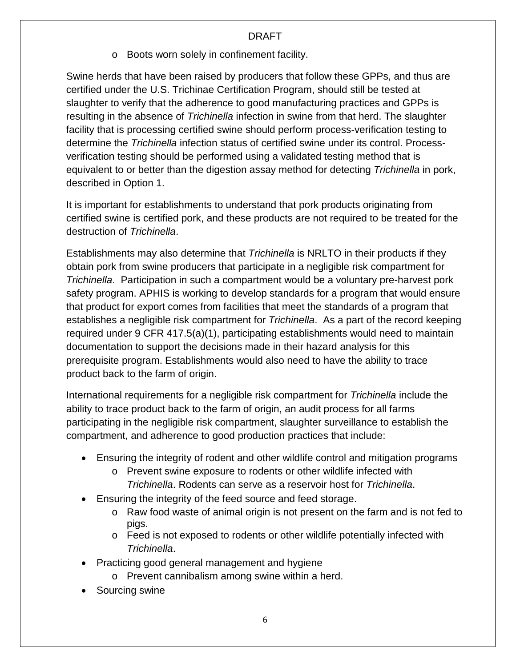o Boots worn solely in confinement facility.

Swine herds that have been raised by producers that follow these GPPs, and thus are certified under the U.S. Trichinae Certification Program, should still be tested at slaughter to verify that the adherence to good manufacturing practices and GPPs is resulting in the absence of *Trichinella* infection in swine from that herd. The slaughter facility that is processing certified swine should perform process-verification testing to determine the *Trichinella* infection status of certified swine under its control. Processverification testing should be performed using a validated testing method that is equivalent to or better than the digestion assay method for detecting *Trichinella* in pork, described in Option 1.

It is important for establishments to understand that pork products originating from certified swine is certified pork, and these products are not required to be treated for the destruction of *Trichinella*.

Establishments may also determine that *Trichinella* is NRLTO in their products if they obtain pork from swine producers that participate in a negligible risk compartment for *Trichinella*. Participation in such a compartment would be a voluntary pre-harvest pork safety program. APHIS is working to develop standards for a program that would ensure that product for export comes from facilities that meet the standards of a program that establishes a negligible risk compartment for *Trichinella*. As a part of the record keeping required under 9 CFR 417.5(a)(1), participating establishments would need to maintain documentation to support the decisions made in their hazard analysis for this prerequisite program. Establishments would also need to have the ability to trace product back to the farm of origin.

International requirements for a negligible risk compartment for *Trichinella* include the ability to trace product back to the farm of origin, an audit process for all farms participating in the negligible risk compartment, slaughter surveillance to establish the compartment, and adherence to good production practices that include:

- Ensuring the integrity of rodent and other wildlife control and mitigation programs
	- o Prevent swine exposure to rodents or other wildlife infected with *Trichinella*. Rodents can serve as a reservoir host for *Trichinella*.
- Ensuring the integrity of the feed source and feed storage.
	- o Raw food waste of animal origin is not present on the farm and is not fed to pigs.
	- o Feed is not exposed to rodents or other wildlife potentially infected with *Trichinella*.
- Practicing good general management and hygiene
	- o Prevent cannibalism among swine within a herd.
- Sourcing swine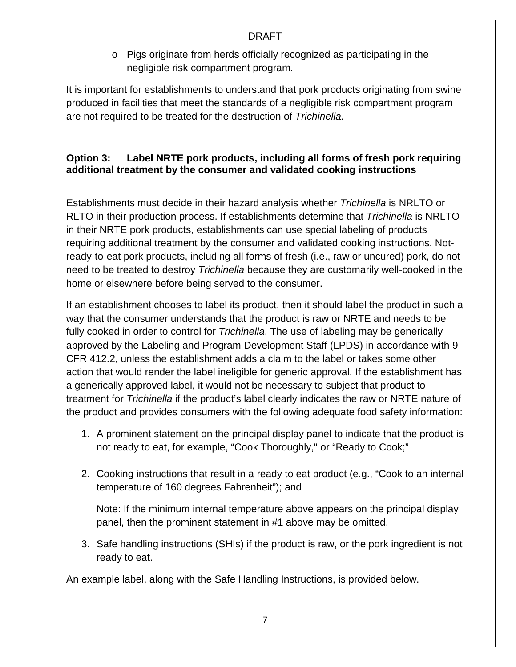o Pigs originate from herds officially recognized as participating in the negligible risk compartment program.

It is important for establishments to understand that pork products originating from swine produced in facilities that meet the standards of a negligible risk compartment program are not required to be treated for the destruction of *Trichinella.*

## <span id="page-11-0"></span>**Option 3: Label NRTE pork products, including all forms of fresh pork requiring additional treatment by the consumer and validated cooking instructions**

Establishments must decide in their hazard analysis whether *Trichinella* is NRLTO or RLTO in their production process. If establishments determine that *Trichinella* is NRLTO in their NRTE pork products, establishments can use special labeling of products requiring additional treatment by the consumer and validated cooking instructions. Notready-to-eat pork products, including all forms of fresh (i.e., raw or uncured) pork, do not need to be treated to destroy *Trichinella* because they are customarily well-cooked in the home or elsewhere before being served to the consumer.

If an establishment chooses to label its product, then it should label the product in such a way that the consumer understands that the product is raw or NRTE and needs to be fully cooked in order to control for *Trichinella*. The use of labeling may be generically approved by the Labeling and Program Development Staff (LPDS) in accordance with 9 CFR 412.2, unless the establishment adds a claim to the label or takes some other action that would render the label ineligible for generic approval. If the establishment has a generically approved label, it would not be necessary to subject that product to treatment for *Trichinella* if the product's label clearly indicates the raw or NRTE nature of the product and provides consumers with the following adequate food safety information:

- 1. A prominent statement on the principal display panel to indicate that the product is not ready to eat, for example, "Cook Thoroughly," or "Ready to Cook;"
- 2. Cooking instructions that result in a ready to eat product (e.g., "Cook to an internal temperature of 160 degrees Fahrenheit"); and

Note: If the minimum internal temperature above appears on the principal display panel, then the prominent statement in #1 above may be omitted.

3. Safe handling instructions (SHIs) if the product is raw, or the pork ingredient is not ready to eat.

An example label, along with the Safe Handling Instructions, is provided below.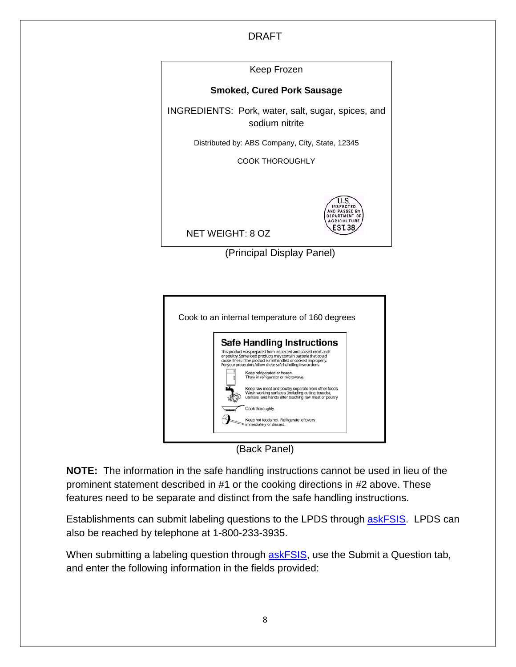Keep Frozen **Smoked, Cured Pork Sausage** INGREDIENTS: Pork, water, salt, sugar, spices, and sodium nitrite Distributed by: ABS Company, City, State, 12345 COOK THOROUGHLY ΊIS AGRICULTURE **EST.38** NET WEIGHT: 8 OZ

(Principal Display Panel)



(Back Panel)

**NOTE:** The information in the safe handling instructions cannot be used in lieu of the prominent statement described in #1 or the cooking directions in #2 above. These features need to be separate and distinct from the safe handling instructions.

Establishments can submit labeling questions to the LPDS through **askFSIS**. LPDS can also be reached by telephone at 1-800-233-3935.

When submitting a labeling question through **askFSIS**, use the Submit a Question tab, and enter the following information in the fields provided: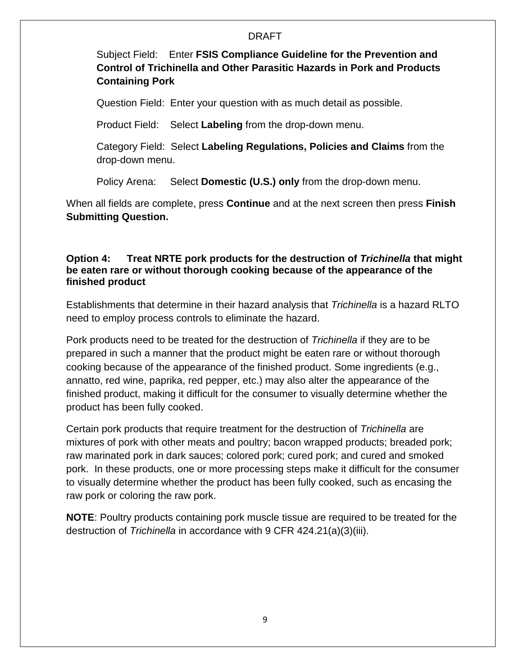Subject Field: Enter **FSIS Compliance Guideline for the Prevention and Control of Trichinella and Other Parasitic Hazards in Pork and Products Containing Pork**

Question Field: Enter your question with as much detail as possible.

Product Field: Select **Labeling** from the drop-down menu.

Category Field: Select **Labeling Regulations, Policies and Claims** from the drop-down menu.

Policy Arena: Select **Domestic (U.S.) only** from the drop-down menu.

When all fields are complete, press **Continue** and at the next screen then press **Finish Submitting Question.**

## <span id="page-13-0"></span>**Option 4: Treat NRTE pork products for the destruction of** *Trichinella* **that might be eaten rare or without thorough cooking because of the appearance of the finished product**

Establishments that determine in their hazard analysis that *Trichinella* is a hazard RLTO need to employ process controls to eliminate the hazard.

Pork products need to be treated for the destruction of *Trichinella* if they are to be prepared in such a manner that the product might be eaten rare or without thorough cooking because of the appearance of the finished product. Some ingredients (e.g., annatto, red wine, paprika, red pepper, etc.) may also alter the appearance of the finished product, making it difficult for the consumer to visually determine whether the product has been fully cooked.

Certain pork products that require treatment for the destruction of *Trichinella* are mixtures of pork with other meats and poultry; bacon wrapped products; breaded pork; raw marinated pork in dark sauces; colored pork; cured pork; and cured and smoked pork. In these products, one or more processing steps make it difficult for the consumer to visually determine whether the product has been fully cooked, such as encasing the raw pork or coloring the raw pork.

**NOTE**: Poultry products containing pork muscle tissue are required to be treated for the destruction of *Trichinella* in accordance with 9 CFR 424.21(a)(3)(iii).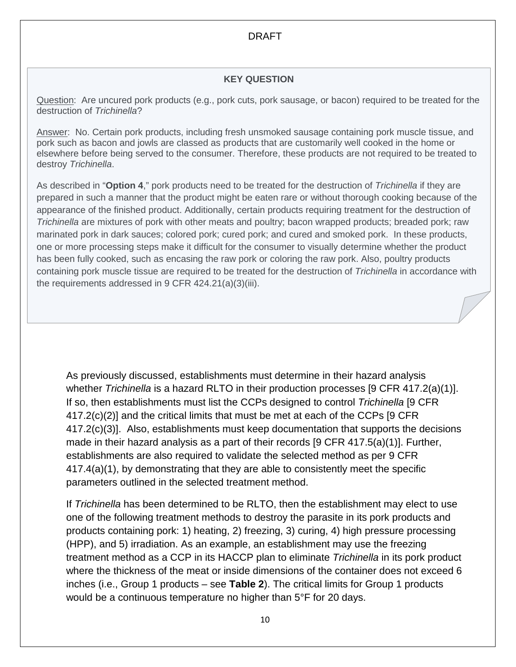## **KEY QUESTION**

Question: Are uncured pork products (e.g., pork cuts, pork sausage, or bacon) required to be treated for the destruction of *Trichinella*?

Answer: No. Certain pork products, including fresh unsmoked sausage containing pork muscle tissue, and pork such as bacon and jowls are classed as products that are customarily well cooked in the home or elsewhere before being served to the consumer. Therefore, these products are not required to be treated to destroy *Trichinella*.

As described in "**Option 4**," pork products need to be treated for the destruction of *Trichinella* if they are prepared in such a manner that the product might be eaten rare or without thorough cooking because of the appearance of the finished product. Additionally, certain products requiring treatment for the destruction of *Trichinella* are mixtures of pork with other meats and poultry; bacon wrapped products; breaded pork; raw marinated pork in dark sauces; colored pork; cured pork; and cured and smoked pork. In these products, one or more processing steps make it difficult for the consumer to visually determine whether the product has been fully cooked, such as encasing the raw pork or coloring the raw pork. Also, poultry products containing pork muscle tissue are required to be treated for the destruction of *Trichinella* in accordance with the requirements addressed in 9 CFR 424.21(a)(3)(iii).

As previously discussed, establishments must determine in their hazard analysis whether *Trichinella* is a hazard RLTO in their production processes [9 CFR 417.2(a)(1)]. If so, then establishments must list the CCPs designed to control *Trichinella* [9 CFR 417.2(c)(2)] and the critical limits that must be met at each of the CCPs [9 CFR 417.2(c)(3)]. Also, establishments must keep documentation that supports the decisions made in their hazard analysis as a part of their records [9 CFR 417.5(a)(1)]. Further, establishments are also required to validate the selected method as per 9 CFR 417.4(a)(1), by demonstrating that they are able to consistently meet the specific parameters outlined in the selected treatment method.

If *Trichinella* has been determined to be RLTO, then the establishment may elect to use one of the following treatment methods to destroy the parasite in its pork products and products containing pork: 1) heating, 2) freezing, 3) curing, 4) high pressure processing (HPP), and 5) irradiation. As an example, an establishment may use the freezing treatment method as a CCP in its HACCP plan to eliminate *Trichinella* in its pork product where the thickness of the meat or inside dimensions of the container does not exceed 6 inches (i.e., Group 1 products – see **Table 2**). The critical limits for Group 1 products would be a continuous temperature no higher than 5°F for 20 days.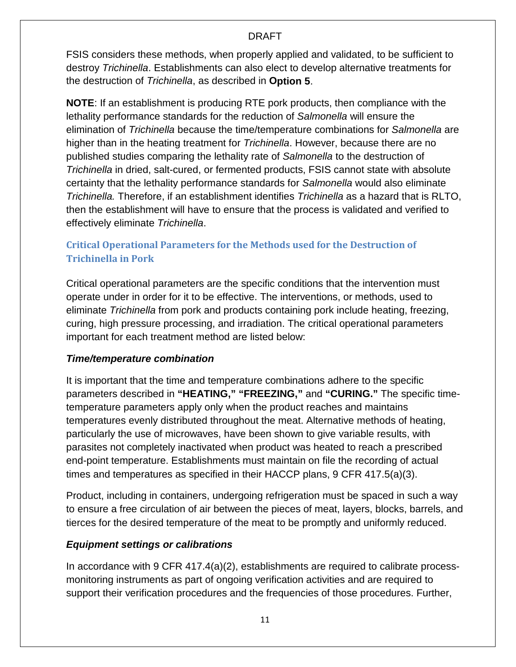FSIS considers these methods, when properly applied and validated, to be sufficient to destroy *Trichinella*. Establishments can also elect to develop alternative treatments for the destruction of *Trichinella*, as described in **[Option 5](#page-34-2)**.

**NOTE**: If an establishment is producing RTE pork products, then compliance with the lethality performance standards for the reduction of *Salmonella* will ensure the elimination of *Trichinella* because the time/temperature combinations for *Salmonella* are higher than in the heating treatment for *Trichinella*. However, because there are no published studies comparing the lethality rate of *Salmonella* to the destruction of *Trichinella* in dried, salt-cured, or fermented products, FSIS cannot state with absolute certainty that the lethality performance standards for *Salmonella* would also eliminate *Trichinella.* Therefore, if an establishment identifies *Trichinella* as a hazard that is RLTO, then the establishment will have to ensure that the process is validated and verified to effectively eliminate *Trichinella*.

## <span id="page-15-0"></span>**Critical Operational Parameters for the Methods used for the Destruction of Trichinella in Pork**

Critical operational parameters are the specific conditions that the intervention must operate under in order for it to be effective. The interventions, or methods, used to eliminate *Trichinella* from pork and products containing pork include heating, freezing, curing, high pressure processing, and irradiation. The critical operational parameters important for each treatment method are listed below:

## *Time/temperature combination*

It is important that the time and temperature combinations adhere to the specific parameters described in **"HEATING," "FREEZING,"** and **"CURING."** The specific timetemperature parameters apply only when the product reaches and maintains temperatures evenly distributed throughout the meat. Alternative methods of heating, particularly the use of microwaves, have been shown to give variable results, with parasites not completely inactivated when product was heated to reach a prescribed end-point temperature. Establishments must maintain on file the recording of actual times and temperatures as specified in their HACCP plans, 9 CFR 417.5(a)(3).

Product, including in containers, undergoing refrigeration must be spaced in such a way to ensure a free circulation of air between the pieces of meat, layers, blocks, barrels, and tierces for the desired temperature of the meat to be promptly and uniformly reduced.

## *Equipment settings or calibrations*

In accordance with 9 CFR 417.4(a)(2), establishments are required to calibrate processmonitoring instruments as part of ongoing verification activities and are required to support their verification procedures and the frequencies of those procedures. Further,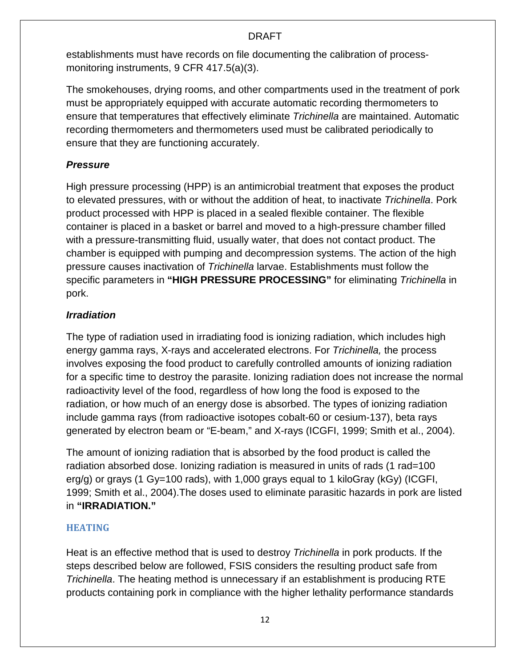establishments must have records on file documenting the calibration of processmonitoring instruments, 9 CFR 417.5(a)(3).

The smokehouses, drying rooms, and other compartments used in the treatment of pork must be appropriately equipped with accurate automatic recording thermometers to ensure that temperatures that effectively eliminate *Trichinella* are maintained. Automatic recording thermometers and thermometers used must be calibrated periodically to ensure that they are functioning accurately.

## *Pressure*

High pressure processing (HPP) is an antimicrobial treatment that exposes the product to elevated pressures, with or without the addition of heat, to inactivate *Trichinella*. Pork product processed with HPP is placed in a sealed flexible container. The flexible container is placed in a basket or barrel and moved to a high-pressure chamber filled with a pressure-transmitting fluid, usually water, that does not contact product. The chamber is equipped with pumping and decompression systems. The action of the high pressure causes inactivation of *Trichinella* larvae. Establishments must follow the specific parameters in **"HIGH PRESSURE PROCESSING"** for eliminating *Trichinella* in pork.

## *Irradiation*

The type of radiation used in irradiating food is ionizing radiation, which includes high energy gamma rays, X-rays and accelerated electrons. For *Trichinella,* the process involves exposing the food product to carefully controlled amounts of ionizing radiation for a specific time to destroy the parasite. Ionizing radiation does not increase the normal radioactivity level of the food, regardless of how long the food is exposed to the radiation, or how much of an energy dose is absorbed. The types of ionizing radiation include gamma rays (from radioactive isotopes cobalt-60 or cesium-137), beta rays generated by electron beam or "E-beam," and X-rays (ICGFI, 1999; Smith et al., 2004).

The amount of ionizing radiation that is absorbed by the food product is called the radiation absorbed dose. Ionizing radiation is measured in units of rads (1 rad=100 erg/g) or grays (1 Gy=100 rads), with 1,000 grays equal to 1 kiloGray (kGy) (ICGFI, 1999; Smith et al., 2004).The doses used to eliminate parasitic hazards in pork are listed in **"IRRADIATION."**

## <span id="page-16-0"></span>**HEATING**

Heat is an effective method that is used to destroy *Trichinella* in pork products. If the steps described below are followed, FSIS considers the resulting product safe from *Trichinella*. The heating method is unnecessary if an establishment is producing RTE products containing pork in compliance with the higher lethality performance standards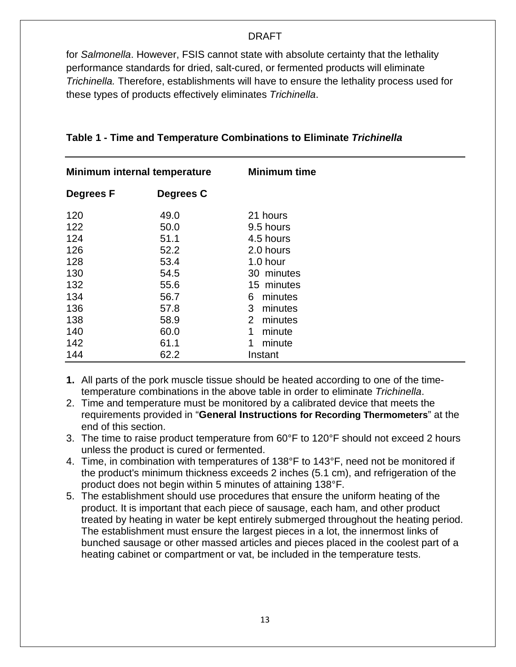for *Salmonella*. However, FSIS cannot state with absolute certainty that the lethality performance standards for dried, salt-cured, or fermented products will eliminate *Trichinella.* Therefore, establishments will have to ensure the lethality process used for these types of products effectively eliminates *Trichinella*.

| Minimum internal temperature |              | <b>Minimum time</b>      |
|------------------------------|--------------|--------------------------|
| Degrees F                    | Degrees C    |                          |
| 120                          | 49.0         | 21 hours                 |
| 122<br>124                   | 50.0<br>51.1 | 9.5 hours<br>4.5 hours   |
| 126                          | 52.2         | 2.0 hours                |
| 128                          | 53.4         | 1.0 hour                 |
| 130<br>132                   | 54.5<br>55.6 | 30 minutes<br>15 minutes |
| 134                          | 56.7         | minutes<br>6             |
| 136                          | 57.8         | minutes<br>3             |
| 138                          | 58.9         | minutes<br>2             |
| 140                          | 60.0         | minute                   |
| 142                          | 61.1         | minute                   |
| 144                          | 62.2         | Instant                  |

## **Table 1 - Time and Temperature Combinations to Eliminate** *Trichinella*

- **1.** All parts of the pork muscle tissue should be heated according to one of the timetemperature combinations in the above table in order to eliminate *Trichinella*.
- 2. Time and temperature must be monitored by a calibrated device that meets the requirements provided in "**General Instructions for Recording Thermometers**" at the end of this section.
- 3. The time to raise product temperature from 60°F to 120°F should not exceed 2 hours unless the product is cured or fermented.
- 4. Time, in combination with temperatures of 138°F to 143°F, need not be monitored if the product's minimum thickness exceeds 2 inches (5.1 cm), and refrigeration of the product does not begin within 5 minutes of attaining 138°F.
- 5. The establishment should use procedures that ensure the uniform heating of the product. It is important that each piece of sausage, each ham, and other product treated by heating in water be kept entirely submerged throughout the heating period. The establishment must ensure the largest pieces in a lot, the innermost links of bunched sausage or other massed articles and pieces placed in the coolest part of a heating cabinet or compartment or vat, be included in the temperature tests.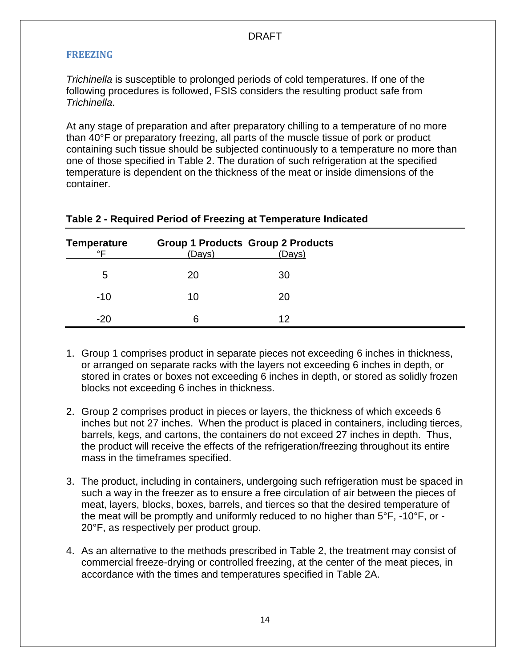#### **FREEZING**

*Trichinella* is susceptible to prolonged periods of cold temperatures. If one of the following procedures is followed, FSIS considers the resulting product safe from *Trichinella*.

At any stage of preparation and after preparatory chilling to a temperature of no more than 40°F or preparatory freezing, all parts of the muscle tissue of pork or product containing such tissue should be subjected continuously to a temperature no more than one of those specified in Table 2. The duration of such refrigeration at the specified temperature is dependent on the thickness of the meat or inside dimensions of the container.

| <b>Temperature</b> |        | <b>Group 1 Products Group 2 Products</b> |
|--------------------|--------|------------------------------------------|
| ∘⊏                 | (Days) | (Days)                                   |
| 5                  | 20     | 30                                       |
| $-10$              | 10     | 20                                       |
| $-20$              | 6      | 12                                       |

## **Table 2 - Required Period of Freezing at Temperature Indicated**

- 1. Group 1 comprises product in separate pieces not exceeding 6 inches in thickness, or arranged on separate racks with the layers not exceeding 6 inches in depth, or stored in crates or boxes not exceeding 6 inches in depth, or stored as solidly frozen blocks not exceeding 6 inches in thickness.
- 2. Group 2 comprises product in pieces or layers, the thickness of which exceeds 6 inches but not 27 inches. When the product is placed in containers, including tierces, barrels, kegs, and cartons, the containers do not exceed 27 inches in depth. Thus, the product will receive the effects of the refrigeration/freezing throughout its entire mass in the timeframes specified.
- 3. The product, including in containers, undergoing such refrigeration must be spaced in such a way in the freezer as to ensure a free circulation of air between the pieces of meat, layers, blocks, boxes, barrels, and tierces so that the desired temperature of the meat will be promptly and uniformly reduced to no higher than 5°F, -10°F, or - 20°F, as respectively per product group.
- 4. As an alternative to the methods prescribed in Table 2, the treatment may consist of commercial freeze-drying or controlled freezing, at the center of the meat pieces, in accordance with the times and temperatures specified in Table 2A.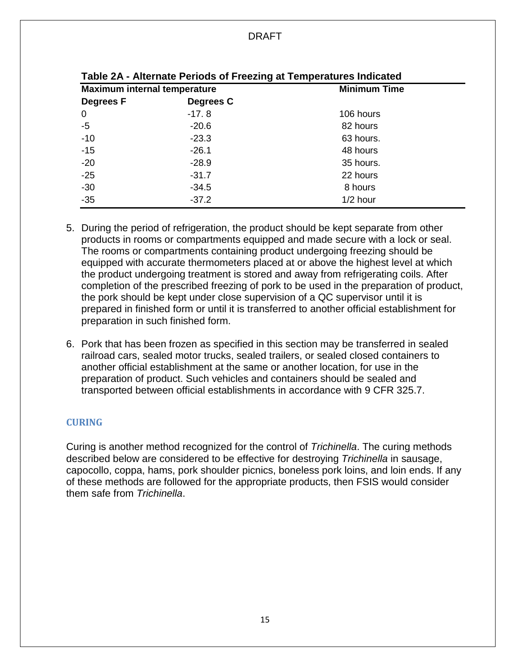| Table 2A - Alternate Ferrous or Freezing at Temperatures indicated |                     |  |  |  |
|--------------------------------------------------------------------|---------------------|--|--|--|
| <b>Maximum internal temperature</b>                                | <b>Minimum Time</b> |  |  |  |
| Degrees C                                                          |                     |  |  |  |
| $-17.8$                                                            | 106 hours           |  |  |  |
| $-20.6$                                                            | 82 hours            |  |  |  |
| $-23.3$                                                            | 63 hours.           |  |  |  |
| $-26.1$                                                            | 48 hours            |  |  |  |
| $-28.9$                                                            | 35 hours.           |  |  |  |
| $-31.7$                                                            | 22 hours            |  |  |  |
| $-34.5$                                                            | 8 hours             |  |  |  |
| $-37.2$                                                            | $1/2$ hour          |  |  |  |
|                                                                    |                     |  |  |  |

- 5. During the period of refrigeration, the product should be kept separate from other products in rooms or compartments equipped and made secure with a lock or seal. The rooms or compartments containing product undergoing freezing should be equipped with accurate thermometers placed at or above the highest level at which the product undergoing treatment is stored and away from refrigerating coils. After completion of the prescribed freezing of pork to be used in the preparation of product, the pork should be kept under close supervision of a QC supervisor until it is prepared in finished form or until it is transferred to another official establishment for preparation in such finished form.
- 6. Pork that has been frozen as specified in this section may be transferred in sealed railroad cars, sealed motor trucks, sealed trailers, or sealed closed containers to another official establishment at the same or another location, for use in the preparation of product. Such vehicles and containers should be sealed and transported between official establishments in accordance with 9 CFR 325.7.

## <span id="page-19-0"></span>**CURING**

Curing is another method recognized for the control of *Trichinella*. The curing methods described below are considered to be effective for destroying *Trichinella* in sausage, capocollo, coppa, hams, pork shoulder picnics, boneless pork loins, and loin ends. If any of these methods are followed for the appropriate products, then FSIS would consider them safe from *Trichinella*.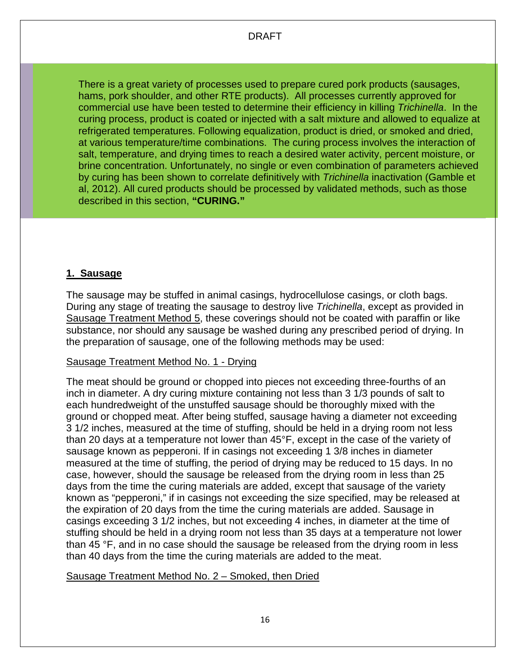There is a great variety of processes used to prepare cured pork products (sausages, hams, pork shoulder, and other RTE products). All processes currently approved for commercial use have been tested to determine their efficiency in killing *Trichinella*. In the curing process, product is coated or injected with a salt mixture and allowed to equalize at refrigerated temperatures. Following equalization, product is dried, or smoked and dried, at various temperature/time combinations. The curing process involves the interaction of salt, temperature, and drying times to reach a desired water activity, percent moisture, or brine concentration. Unfortunately, no single or even combination of parameters achieved by curing has been shown to correlate definitively with *Trichinella* inactivation (Gamble et al, 2012). All cured products should be processed by validated methods, such as those described in this section, **"CURING."**

## **1. Sausage**

The sausage may be stuffed in animal casings, hydrocellulose casings, or cloth bags. During any stage of treating the sausage to destroy live *Trichinella*, except as provided in Sausage Treatment Method 5, these coverings should not be coated with paraffin or like substance, nor should any sausage be washed during any prescribed period of drying. In the preparation of sausage, one of the following methods may be used:

## Sausage Treatment Method No. 1 - Drying

The meat should be ground or chopped into pieces not exceeding three-fourths of an inch in diameter. A dry curing mixture containing not less than 3 1/3 pounds of salt to each hundredweight of the unstuffed sausage should be thoroughly mixed with the ground or chopped meat. After being stuffed, sausage having a diameter not exceeding 3 1/2 inches, measured at the time of stuffing, should be held in a drying room not less than 20 days at a temperature not lower than 45°F, except in the case of the variety of sausage known as pepperoni. If in casings not exceeding 1 3/8 inches in diameter measured at the time of stuffing, the period of drying may be reduced to 15 days. In no case, however, should the sausage be released from the drying room in less than 25 days from the time the curing materials are added, except that sausage of the variety known as "pepperoni," if in casings not exceeding the size specified, may be released at the expiration of 20 days from the time the curing materials are added. Sausage in casings exceeding 3 1/2 inches, but not exceeding 4 inches, in diameter at the time of stuffing should be held in a drying room not less than 35 days at a temperature not lower than 45 °F, and in no case should the sausage be released from the drying room in less than 40 days from the time the curing materials are added to the meat.

## Sausage Treatment Method No. 2 – Smoked, then Dried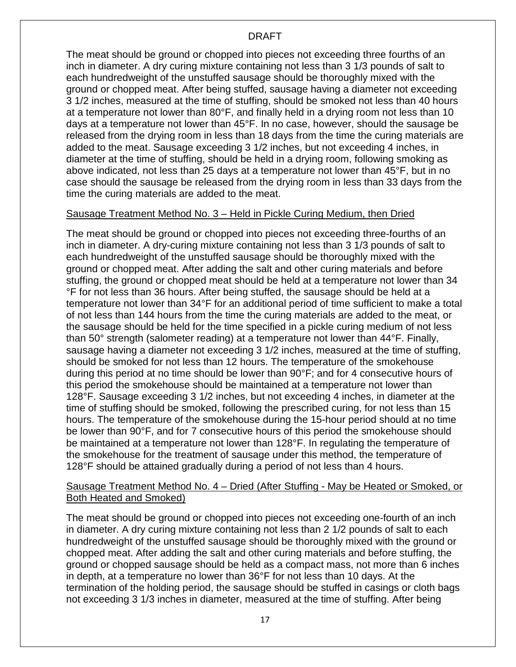The meat should be ground or chopped into pieces not exceeding three fourths of an inch in diameter. A dry curing mixture containing not less than 3 1/3 pounds of salt to each hundredweight of the unstuffed sausage should be thoroughly mixed with the ground or chopped meat. After being stuffed, sausage having a diameter not exceeding 3 1/2 inches, measured at the time of stuffing, should be smoked not less than 40 hours at a temperature not lower than 80°F, and finally held in a drying room not less than 10 days at a temperature not lower than 45°F. In no case, however, should the sausage be released from the drying room in less than 18 days from the time the curing materials are added to the meat. Sausage exceeding 3 1/2 inches, but not exceeding 4 inches, in diameter at the time of stuffing, should be held in a drying room, following smoking as above indicated, not less than 25 days at a temperature not lower than 45°F, but in no case should the sausage be released from the drying room in less than 33 days from the time the curing materials are added to the meat.

#### Sausage Treatment Method No. 3 – Held in Pickle Curing Medium, then Dried

The meat should be ground or chopped into pieces not exceeding three-fourths of an inch in diameter. A dry-curing mixture containing not less than 3 1/3 pounds of salt to each hundredweight of the unstuffed sausage should be thoroughly mixed with the ground or chopped meat. After adding the salt and other curing materials and before stuffing, the ground or chopped meat should be held at a temperature not lower than 34 °F for not less than 36 hours. After being stuffed, the sausage should be held at a temperature not lower than 34°F for an additional period of time sufficient to make a total of not less than 144 hours from the time the curing materials are added to the meat, or the sausage should be held for the time specified in a pickle curing medium of not less than 50° strength (salometer reading) at a temperature not lower than 44°F. Finally, sausage having a diameter not exceeding 3 1/2 inches, measured at the time of stuffing, should be smoked for not less than 12 hours. The temperature of the smokehouse during this period at no time should be lower than 90°F; and for 4 consecutive hours of this period the smokehouse should be maintained at a temperature not lower than 128°F. Sausage exceeding 3 1/2 inches, but not exceeding 4 inches, in diameter at the time of stuffing should be smoked, following the prescribed curing, for not less than 15 hours. The temperature of the smokehouse during the 15-hour period should at no time be lower than 90°F, and for 7 consecutive hours of this period the smokehouse should be maintained at a temperature not lower than 128°F. In regulating the temperature of the smokehouse for the treatment of sausage under this method, the temperature of 128°F should be attained gradually during a period of not less than 4 hours.

## Sausage Treatment Method No. 4 – Dried (After Stuffing - May be Heated or Smoked, or Both Heated and Smoked)

The meat should be ground or chopped into pieces not exceeding one-fourth of an inch in diameter. A dry curing mixture containing not less than 2 1/2 pounds of salt to each hundredweight of the unstuffed sausage should be thoroughly mixed with the ground or chopped meat. After adding the salt and other curing materials and before stuffing, the ground or chopped sausage should be held as a compact mass, not more than 6 inches in depth, at a temperature no lower than 36°F for not less than 10 days. At the termination of the holding period, the sausage should be stuffed in casings or cloth bags not exceeding 3 1/3 inches in diameter, measured at the time of stuffing. After being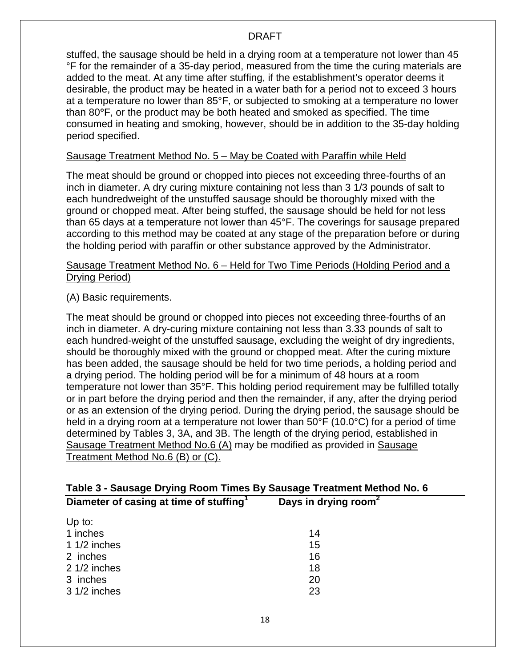stuffed, the sausage should be held in a drying room at a temperature not lower than 45 °F for the remainder of a 35-day period, measured from the time the curing materials are added to the meat. At any time after stuffing, if the establishment's operator deems it desirable, the product may be heated in a water bath for a period not to exceed 3 hours at a temperature no lower than 85°F, or subjected to smoking at a temperature no lower than 80**°**F, or the product may be both heated and smoked as specified. The time consumed in heating and smoking, however, should be in addition to the 35-day holding period specified.

#### Sausage Treatment Method No. 5 – May be Coated with Paraffin while Held

The meat should be ground or chopped into pieces not exceeding three-fourths of an inch in diameter. A dry curing mixture containing not less than 3 1/3 pounds of salt to each hundredweight of the unstuffed sausage should be thoroughly mixed with the ground or chopped meat. After being stuffed, the sausage should be held for not less than 65 days at a temperature not lower than 45°F. The coverings for sausage prepared according to this method may be coated at any stage of the preparation before or during the holding period with paraffin or other substance approved by the Administrator.

#### Sausage Treatment Method No. 6 – Held for Two Time Periods (Holding Period and a Drying Period)

(A) Basic requirements.

The meat should be ground or chopped into pieces not exceeding three-fourths of an inch in diameter. A dry-curing mixture containing not less than 3.33 pounds of salt to each hundred-weight of the unstuffed sausage, excluding the weight of dry ingredients, should be thoroughly mixed with the ground or chopped meat. After the curing mixture has been added, the sausage should be held for two time periods, a holding period and a drying period. The holding period will be for a minimum of 48 hours at a room temperature not lower than 35°F. This holding period requirement may be fulfilled totally or in part before the drying period and then the remainder, if any, after the drying period or as an extension of the drying period. During the drying period, the sausage should be held in a drying room at a temperature not lower than 50°F (10.0°C) for a period of time determined by Tables 3, 3A, and 3B. The length of the drying period, established in Sausage Treatment Method No.6 (A) may be modified as provided in Sausage Treatment Method No.6 (B) or (C).

| Table 3 - Sausage Drying Room Times By Sausage Treatment Method No. 6 |                                  |  |  |
|-----------------------------------------------------------------------|----------------------------------|--|--|
| Diameter of casing at time of stuffing <sup>1</sup>                   | Days in drying room <sup>2</sup> |  |  |
| Up to:                                                                |                                  |  |  |
| 1 inches                                                              | 14                               |  |  |
| 1 $1/2$ inches                                                        | 15                               |  |  |
| 2 inches                                                              | 16                               |  |  |
| $21/2$ inches                                                         | 18                               |  |  |
| 3 inches                                                              | 20                               |  |  |
| $31/2$ inches                                                         | 23                               |  |  |
|                                                                       |                                  |  |  |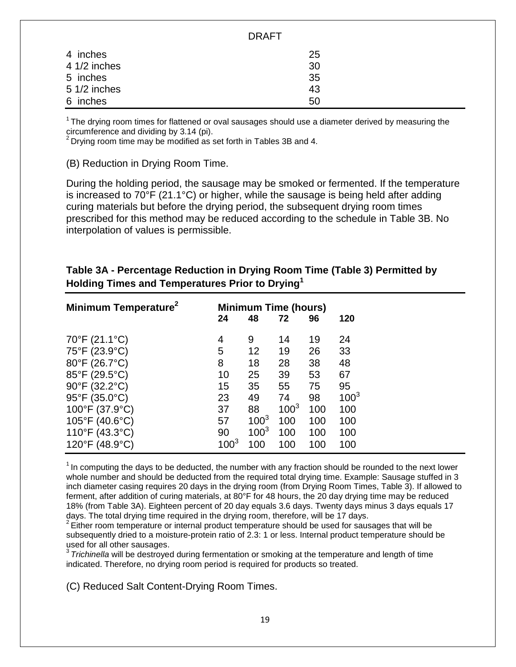|               | PIVAL I |  |
|---------------|---------|--|
| 4 inches      | 25      |  |
| 4 1/2 inches  | 30      |  |
| 5 inches      | 35      |  |
| $51/2$ inches | 43      |  |
| 6 inches      | 50      |  |

DD A ET

 $1$ The drying room times for flattened or oval sausages should use a diameter derived by measuring the circumference and dividing by 3.14 (pi).

 $2$  Drying room time may be modified as set forth in Tables 3B and 4.

(B) Reduction in Drying Room Time.

During the holding period, the sausage may be smoked or fermented. If the temperature is increased to 70°F (21.1°C) or higher, while the sausage is being held after adding curing materials but before the drying period, the subsequent drying room times prescribed for this method may be reduced according to the schedule in Table 3B. No interpolation of values is permissible.

## **Table 3A - Percentage Reduction in Drying Room Time (Table 3) Permitted by Holding Times and Temperatures Prior to Drying1**

| Minimum Temperature <sup>2</sup>    |           |           | <b>Minimum Time (hours)</b> |     |           |
|-------------------------------------|-----------|-----------|-----------------------------|-----|-----------|
|                                     | 24        | 48        | 72                          | 96  | 120       |
| 70°F (21.1°C)                       | 4         | 9         | 14                          | 19  | 24        |
| 75°F (23.9°C)                       | 5         | 12        | 19                          | 26  | 33        |
| 80°F (26.7°C)                       | 8         | 18        | 28                          | 38  | 48        |
| 85°F (29.5°C)                       | 10        | 25        | 39                          | 53  | 67        |
| 90°F (32.2°C)                       | 15        | 35        | 55                          | 75  | 95        |
| 95°F (35.0°C)                       | 23        | 49        | 74                          | 98  | $100^{3}$ |
| 100°F (37.9°C)                      | 37        | 88        | $100^{3}$                   | 100 | 100       |
| $105^{\circ}$ F (40.6 $^{\circ}$ C) | 57        | $100^{3}$ | 100                         | 100 | 100       |
| 110°F (43.3°C)                      | 90        | $100^{3}$ | 100                         | 100 | 100       |
| 120°F (48.9°C)                      | $100^{3}$ | 100       | 100                         | 100 | 100       |

 $<sup>1</sup>$  In computing the days to be deducted, the number with any fraction should be rounded to the next lower</sup> whole number and should be deducted from the required total drying time. Example: Sausage stuffed in 3 inch diameter casing requires 20 days in the drying room (from Drying Room Times, Table 3). If allowed to ferment, after addition of curing materials, at 80°F for 48 hours, the 20 day drying time may be reduced 18% (from Table 3A). Eighteen percent of 20 day equals 3.6 days. Twenty days minus 3 days equals 17 days. The total drying time required in the drying room, therefore, will be 17 days.

 $2$  Either room temperature or internal product temperature should be used for sausages that will be subsequently dried to a moisture-protein ratio of 2.3: 1 or less. Internal product temperature should be used for all other sausages.

<sup>3</sup>*Trichinella* will be destroyed during fermentation or smoking at the temperature and length of time indicated. Therefore, no drying room period is required for products so treated.

(C) Reduced Salt Content-Drying Room Times.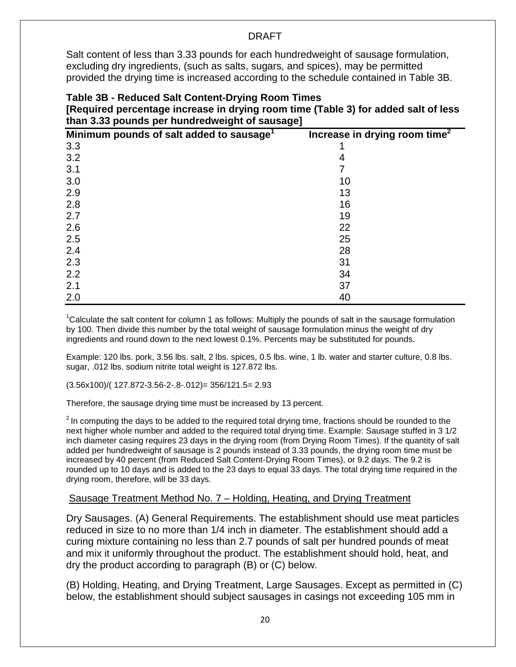Salt content of less than 3.33 pounds for each hundredweight of sausage formulation, excluding dry ingredients, (such as salts, sugars, and spices), may be permitted provided the drying time is increased according to the schedule contained in Table 3B.

#### **Table 3B - Reduced Salt Content-Drying Room Times [Required percentage increase in drying room time (Table 3) for added salt of less than 3.33 pounds per hundredweight of sausage]**

| Minimum pounds of salt added to sausage <sup>1</sup> | Increase in drying room time <sup>2</sup> |
|------------------------------------------------------|-------------------------------------------|
| 3.3                                                  |                                           |
| 3.2                                                  | 4                                         |
| 3.1                                                  |                                           |
| 3.0                                                  | 10                                        |
| 2.9                                                  | 13                                        |
| 2.8                                                  | 16                                        |
| 2.7                                                  | 19                                        |
| 2.6                                                  | 22                                        |
| 2.5                                                  | 25                                        |
| 2.4                                                  | 28                                        |
| 2.3                                                  | 31                                        |
| 2.2                                                  | 34                                        |
| 2.1                                                  | 37                                        |
| 2.0                                                  | 40                                        |

<sup>1</sup>Calculate the salt content for column 1 as follows: Multiply the pounds of salt in the sausage formulation by 100. Then divide this number by the total weight of sausage formulation minus the weight of dry ingredients and round down to the next lowest 0.1%. Percents may be substituted for pounds.

Example: 120 lbs. pork, 3.56 lbs. salt, 2 lbs. spices, 0.5 lbs. wine, 1 lb. water and starter culture, 0.8 lbs. sugar, .012 lbs. sodium nitrite total weight is 127.872 lbs.

(3.56x100)/( 127.872-3.56-2-.8-.012)= 356/121.5= 2.93

Therefore, the sausage drying time must be increased by 13 percent.

<sup>2</sup> In computing the days to be added to the required total drying time, fractions should be rounded to the next higher whole number and added to the required total drying time. Example: Sausage stuffed in 3 1/2 inch diameter casing requires 23 days in the drying room (from Drying Room Times). If the quantity of salt added per hundredweight of sausage is 2 pounds instead of 3.33 pounds, the drying room time must be increased by 40 percent (from Reduced Salt Content-Drying Room Times), or 9.2 days. The 9.2 is rounded up to 10 days and is added to the 23 days to equal 33 days. The total drying time required in the drying room, therefore, will be 33 days.

#### Sausage Treatment Method No. 7 – Holding, Heating, and Drying Treatment

Dry Sausages. (A) General Requirements. The establishment should use meat particles reduced in size to no more than 1/4 inch in diameter. The establishment should add a curing mixture containing no less than 2.7 pounds of salt per hundred pounds of meat and mix it uniformly throughout the product. The establishment should hold, heat, and dry the product according to paragraph (B) or (C) below.

(B) Holding, Heating, and Drying Treatment, Large Sausages. Except as permitted in (C) below, the establishment should subject sausages in casings not exceeding 105 mm in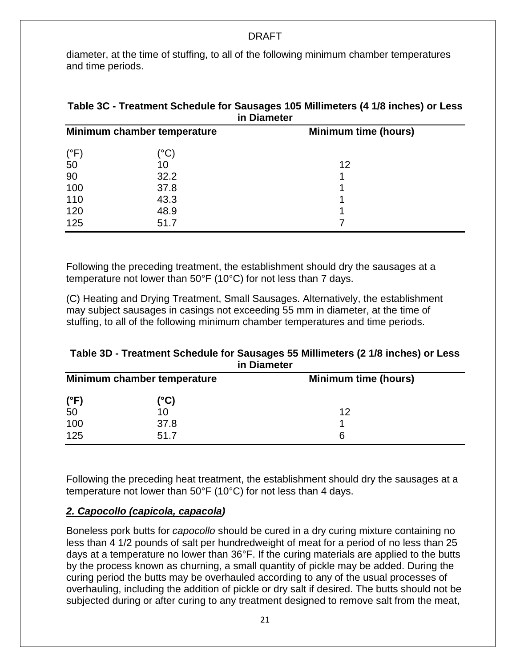diameter, at the time of stuffing, to all of the following minimum chamber temperatures and time periods.

| <b>in Diameter</b>          |                     |                             |  |  |  |
|-----------------------------|---------------------|-----------------------------|--|--|--|
| Minimum chamber temperature |                     | <b>Minimum time (hours)</b> |  |  |  |
| $(^{\circ}F)$               | $^{\prime\circ}$ C) |                             |  |  |  |
| 50                          | 10                  | 12                          |  |  |  |
| 90                          | 32.2                |                             |  |  |  |
| 100                         | 37.8                |                             |  |  |  |
| 110                         | 43.3                |                             |  |  |  |
| 120                         | 48.9                |                             |  |  |  |
| 125                         | 51.7                |                             |  |  |  |

## **Table 3C - Treatment Schedule for Sausages 105 Millimeters (4 1/8 inches) or Less in Diameter**

Following the preceding treatment, the establishment should dry the sausages at a temperature not lower than 50°F (10°C) for not less than 7 days.

(C) Heating and Drying Treatment, Small Sausages. Alternatively, the establishment may subject sausages in casings not exceeding 55 mm in diameter, at the time of stuffing, to all of the following minimum chamber temperatures and time periods.

## **Table 3D - Treatment Schedule for Sausages 55 Millimeters (2 1/8 inches) or Less in Diameter**

|               | Minimum chamber temperature | <b>Minimum time (hours)</b> |  |  |
|---------------|-----------------------------|-----------------------------|--|--|
| $(^{\circ}F)$ | (°C)                        |                             |  |  |
| 50            | 10                          | 12                          |  |  |
| 100           | 37.8                        |                             |  |  |
| 125           | 51.7                        | 6                           |  |  |

Following the preceding heat treatment, the establishment should dry the sausages at a temperature not lower than 50°F (10°C) for not less than 4 days.

## *2. Capocollo (capicola, capacola)*

Boneless pork butts for *capocollo* should be cured in a dry curing mixture containing no less than 4 1/2 pounds of salt per hundredweight of meat for a period of no less than 25 days at a temperature no lower than 36°F. If the curing materials are applied to the butts by the process known as churning, a small quantity of pickle may be added. During the curing period the butts may be overhauled according to any of the usual processes of overhauling, including the addition of pickle or dry salt if desired. The butts should not be subjected during or after curing to any treatment designed to remove salt from the meat,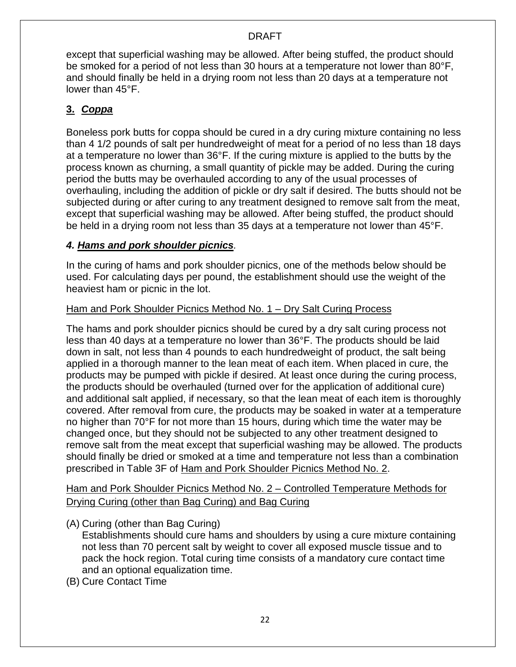except that superficial washing may be allowed. After being stuffed, the product should be smoked for a period of not less than 30 hours at a temperature not lower than 80°F, and should finally be held in a drying room not less than 20 days at a temperature not lower than 45°F.

## **3.** *Coppa*

Boneless pork butts for coppa should be cured in a dry curing mixture containing no less than 4 1/2 pounds of salt per hundredweight of meat for a period of no less than 18 days at a temperature no lower than 36°F. If the curing mixture is applied to the butts by the process known as churning, a small quantity of pickle may be added. During the curing period the butts may be overhauled according to any of the usual processes of overhauling, including the addition of pickle or dry salt if desired. The butts should not be subjected during or after curing to any treatment designed to remove salt from the meat, except that superficial washing may be allowed. After being stuffed, the product should be held in a drying room not less than 35 days at a temperature not lower than 45°F.

## *4. Hams and pork shoulder picnics.*

In the curing of hams and pork shoulder picnics, one of the methods below should be used. For calculating days per pound, the establishment should use the weight of the heaviest ham or picnic in the lot.

## Ham and Pork Shoulder Picnics Method No. 1 – Dry Salt Curing Process

The hams and pork shoulder picnics should be cured by a dry salt curing process not less than 40 days at a temperature no lower than 36°F. The products should be laid down in salt, not less than 4 pounds to each hundredweight of product, the salt being applied in a thorough manner to the lean meat of each item. When placed in cure, the products may be pumped with pickle if desired. At least once during the curing process, the products should be overhauled (turned over for the application of additional cure) and additional salt applied, if necessary, so that the lean meat of each item is thoroughly covered. After removal from cure, the products may be soaked in water at a temperature no higher than 70°F for not more than 15 hours, during which time the water may be changed once, but they should not be subjected to any other treatment designed to remove salt from the meat except that superficial washing may be allowed. The products should finally be dried or smoked at a time and temperature not less than a combination prescribed in Table 3F of Ham and Pork Shoulder Picnics Method No. 2.

## Ham and Pork Shoulder Picnics Method No. 2 – Controlled Temperature Methods for Drying Curing (other than Bag Curing) and Bag Curing

(A) Curing (other than Bag Curing)

Establishments should cure hams and shoulders by using a cure mixture containing not less than 70 percent salt by weight to cover all exposed muscle tissue and to pack the hock region. Total curing time consists of a mandatory cure contact time and an optional equalization time.

(B) Cure Contact Time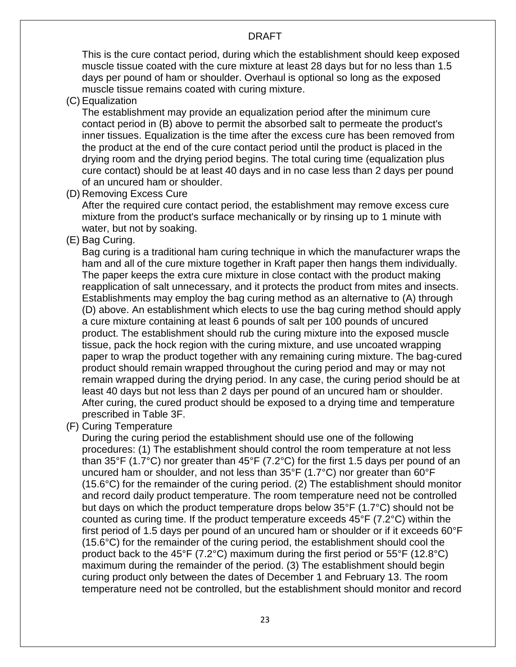This is the cure contact period, during which the establishment should keep exposed muscle tissue coated with the cure mixture at least 28 days but for no less than 1.5 days per pound of ham or shoulder. Overhaul is optional so long as the exposed muscle tissue remains coated with curing mixture.

(C) Equalization

The establishment may provide an equalization period after the minimum cure contact period in (B) above to permit the absorbed salt to permeate the product's inner tissues. Equalization is the time after the excess cure has been removed from the product at the end of the cure contact period until the product is placed in the drying room and the drying period begins. The total curing time (equalization plus cure contact) should be at least 40 days and in no case less than 2 days per pound of an uncured ham or shoulder.

(D) Removing Excess Cure

After the required cure contact period, the establishment may remove excess cure mixture from the product's surface mechanically or by rinsing up to 1 minute with water, but not by soaking.

(E) Bag Curing.

Bag curing is a traditional ham curing technique in which the manufacturer wraps the ham and all of the cure mixture together in Kraft paper then hangs them individually. The paper keeps the extra cure mixture in close contact with the product making reapplication of salt unnecessary, and it protects the product from mites and insects. Establishments may employ the bag curing method as an alternative to (A) through (D) above. An establishment which elects to use the bag curing method should apply a cure mixture containing at least 6 pounds of salt per 100 pounds of uncured product. The establishment should rub the curing mixture into the exposed muscle tissue, pack the hock region with the curing mixture, and use uncoated wrapping paper to wrap the product together with any remaining curing mixture. The bag-cured product should remain wrapped throughout the curing period and may or may not remain wrapped during the drying period. In any case, the curing period should be at least 40 days but not less than 2 days per pound of an uncured ham or shoulder. After curing, the cured product should be exposed to a drying time and temperature prescribed in Table 3F.

(F) Curing Temperature

During the curing period the establishment should use one of the following procedures: (1) The establishment should control the room temperature at not less than 35°F (1.7°C) nor greater than 45°F (7.2°C) for the first 1.5 days per pound of an uncured ham or shoulder, and not less than 35°F (1.7°C) nor greater than 60°F (15.6°C) for the remainder of the curing period. (2) The establishment should monitor and record daily product temperature. The room temperature need not be controlled but days on which the product temperature drops below 35°F (1.7°C) should not be counted as curing time. If the product temperature exceeds 45°F (7.2°C) within the first period of 1.5 days per pound of an uncured ham or shoulder or if it exceeds 60°F (15.6°C) for the remainder of the curing period, the establishment should cool the product back to the 45°F (7.2°C) maximum during the first period or 55°F (12.8°C) maximum during the remainder of the period. (3) The establishment should begin curing product only between the dates of December 1 and February 13. The room temperature need not be controlled, but the establishment should monitor and record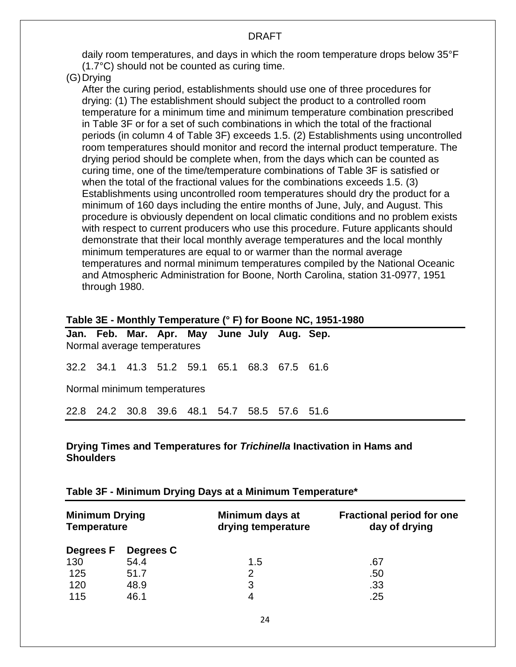daily room temperatures, and days in which the room temperature drops below 35°F (1.7°C) should not be counted as curing time.

(G)Drying

After the curing period, establishments should use one of three procedures for drying: (1) The establishment should subject the product to a controlled room temperature for a minimum time and minimum temperature combination prescribed in Table 3F or for a set of such combinations in which the total of the fractional periods (in column 4 of Table 3F) exceeds 1.5. (2) Establishments using uncontrolled room temperatures should monitor and record the internal product temperature. The drying period should be complete when, from the days which can be counted as curing time, one of the time/temperature combinations of Table 3F is satisfied or when the total of the fractional values for the combinations exceeds 1.5. (3) Establishments using uncontrolled room temperatures should dry the product for a minimum of 160 days including the entire months of June, July, and August. This procedure is obviously dependent on local climatic conditions and no problem exists with respect to current producers who use this procedure. Future applicants should demonstrate that their local monthly average temperatures and the local monthly minimum temperatures are equal to or warmer than the normal average temperatures and normal minimum temperatures compiled by the National Oceanic and Atmospheric Administration for Boone, North Carolina, station 31-0977, 1951 through 1980.

#### **Table 3E - Monthly Temperature (° F) for Boone NC, 1951-1980**

|                             |  | Normal average temperatures |  |  |  | Jan. Feb. Mar. Apr. May June July Aug. Sep.  |  |
|-----------------------------|--|-----------------------------|--|--|--|----------------------------------------------|--|
|                             |  |                             |  |  |  | 32.2 34.1 41.3 51.2 59.1 65.1 68.3 67.5 61.6 |  |
| Normal minimum temperatures |  |                             |  |  |  |                                              |  |
|                             |  |                             |  |  |  | 22.8 24.2 30.8 39.6 48.1 54.7 58.5 57.6 51.6 |  |

#### **Drying Times and Temperatures for** *Trichinella* **Inactivation in Hams and Shoulders**

#### **Table 3F - Minimum Drying Days at a Minimum Temperature\***

| <b>Minimum Drying</b><br><b>Temperature</b> |           | Minimum days at<br>drying temperature | <b>Fractional period for one</b><br>day of drying |  |
|---------------------------------------------|-----------|---------------------------------------|---------------------------------------------------|--|
| Degrees F                                   | Degrees C |                                       |                                                   |  |
| 130                                         | 54.4      | 1.5                                   | .67                                               |  |
| 125                                         | 51.7      | 2                                     | .50                                               |  |
| 120                                         | 48.9      | 3                                     | .33                                               |  |
| 115                                         | 46.1      | 4                                     | .25                                               |  |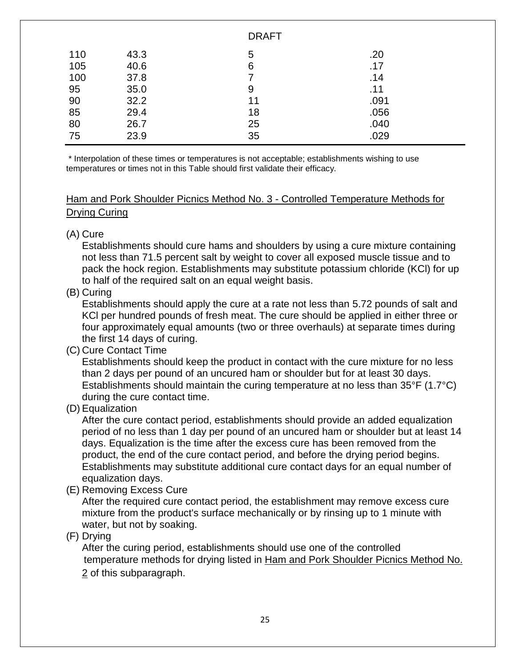|     |      | <b>DRAFT</b> |      |  |
|-----|------|--------------|------|--|
| 110 | 43.3 | 5            | .20  |  |
| 105 | 40.6 | 6            | .17  |  |
| 100 | 37.8 |              | .14  |  |
| 95  | 35.0 | 9            | .11  |  |
| 90  | 32.2 | 11           | .091 |  |
| 85  | 29.4 | 18           | .056 |  |
| 80  | 26.7 | 25           | .040 |  |
| 75  | 23.9 | 35           | .029 |  |

\* Interpolation of these times or temperatures is not acceptable; establishments wishing to use temperatures or times not in this Table should first validate their efficacy.

## Ham and Pork Shoulder Picnics Method No. 3 - Controlled Temperature Methods for Drying Curing

(A) Cure

Establishments should cure hams and shoulders by using a cure mixture containing not less than 71.5 percent salt by weight to cover all exposed muscle tissue and to pack the hock region. Establishments may substitute potassium chloride (KCl) for up to half of the required salt on an equal weight basis.

## (B) Curing

Establishments should apply the cure at a rate not less than 5.72 pounds of salt and KCl per hundred pounds of fresh meat. The cure should be applied in either three or four approximately equal amounts (two or three overhauls) at separate times during the first 14 days of curing.

(C) Cure Contact Time

Establishments should keep the product in contact with the cure mixture for no less than 2 days per pound of an uncured ham or shoulder but for at least 30 days. Establishments should maintain the curing temperature at no less than 35°F (1.7°C) during the cure contact time.

(D) Equalization

After the cure contact period, establishments should provide an added equalization period of no less than 1 day per pound of an uncured ham or shoulder but at least 14 days. Equalization is the time after the excess cure has been removed from the product, the end of the cure contact period, and before the drying period begins. Establishments may substitute additional cure contact days for an equal number of equalization days.

(E) Removing Excess Cure

After the required cure contact period, the establishment may remove excess cure mixture from the product's surface mechanically or by rinsing up to 1 minute with water, but not by soaking.

(F) Drying

After the curing period, establishments should use one of the controlled temperature methods for drying listed in Ham and Pork Shoulder Picnics Method No. 2 of this subparagraph.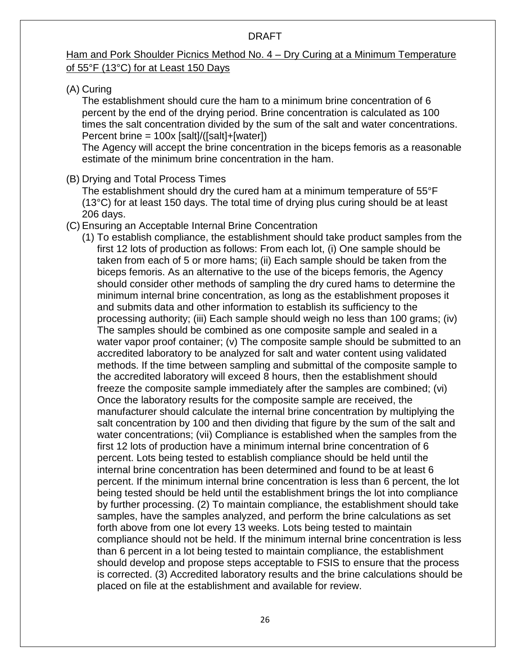## Ham and Pork Shoulder Picnics Method No. 4 – Dry Curing at a Minimum Temperature of 55°F (13°C) for at Least 150 Days

## (A) Curing

The establishment should cure the ham to a minimum brine concentration of 6 percent by the end of the drying period. Brine concentration is calculated as 100 times the salt concentration divided by the sum of the salt and water concentrations. Percent brine = 100x [salt]/([salt]+[water])

The Agency will accept the brine concentration in the biceps femoris as a reasonable estimate of the minimum brine concentration in the ham.

## (B) Drying and Total Process Times

The establishment should dry the cured ham at a minimum temperature of 55°F (13°C) for at least 150 days. The total time of drying plus curing should be at least 206 days.

## (C) Ensuring an Acceptable Internal Brine Concentration

(1) To establish compliance, the establishment should take product samples from the first 12 lots of production as follows: From each lot, (i) One sample should be taken from each of 5 or more hams; (ii) Each sample should be taken from the biceps femoris. As an alternative to the use of the biceps femoris, the Agency should consider other methods of sampling the dry cured hams to determine the minimum internal brine concentration, as long as the establishment proposes it and submits data and other information to establish its sufficiency to the processing authority; (iii) Each sample should weigh no less than 100 grams; (iv) The samples should be combined as one composite sample and sealed in a water vapor proof container; (v) The composite sample should be submitted to an accredited laboratory to be analyzed for salt and water content using validated methods. If the time between sampling and submittal of the composite sample to the accredited laboratory will exceed 8 hours, then the establishment should freeze the composite sample immediately after the samples are combined; (vi) Once the laboratory results for the composite sample are received, the manufacturer should calculate the internal brine concentration by multiplying the salt concentration by 100 and then dividing that figure by the sum of the salt and water concentrations; (vii) Compliance is established when the samples from the first 12 lots of production have a minimum internal brine concentration of 6 percent. Lots being tested to establish compliance should be held until the internal brine concentration has been determined and found to be at least 6 percent. If the minimum internal brine concentration is less than 6 percent, the lot being tested should be held until the establishment brings the lot into compliance by further processing. (2) To maintain compliance, the establishment should take samples, have the samples analyzed, and perform the brine calculations as set forth above from one lot every 13 weeks. Lots being tested to maintain compliance should not be held. If the minimum internal brine concentration is less than 6 percent in a lot being tested to maintain compliance, the establishment should develop and propose steps acceptable to FSIS to ensure that the process is corrected. (3) Accredited laboratory results and the brine calculations should be placed on file at the establishment and available for review.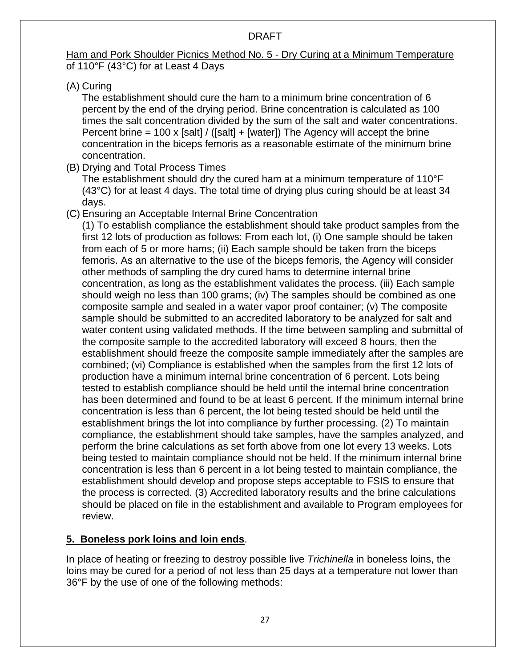## Ham and Pork Shoulder Picnics Method No. 5 - Dry Curing at a Minimum Temperature of 110°F (43°C) for at Least 4 Days

(A) Curing

The establishment should cure the ham to a minimum brine concentration of 6 percent by the end of the drying period. Brine concentration is calculated as 100 times the salt concentration divided by the sum of the salt and water concentrations. Percent brine = 100 x [salt] / ([salt] + [water]) The Agency will accept the brine concentration in the biceps femoris as a reasonable estimate of the minimum brine concentration.

(B) Drying and Total Process Times

The establishment should dry the cured ham at a minimum temperature of 110°F (43°C) for at least 4 days. The total time of drying plus curing should be at least 34 days.

(C) Ensuring an Acceptable Internal Brine Concentration

(1) To establish compliance the establishment should take product samples from the first 12 lots of production as follows: From each lot, (i) One sample should be taken from each of 5 or more hams; (ii) Each sample should be taken from the biceps femoris. As an alternative to the use of the biceps femoris, the Agency will consider other methods of sampling the dry cured hams to determine internal brine concentration, as long as the establishment validates the process. (iii) Each sample should weigh no less than 100 grams; (iv) The samples should be combined as one composite sample and sealed in a water vapor proof container; (v) The composite sample should be submitted to an accredited laboratory to be analyzed for salt and water content using validated methods. If the time between sampling and submittal of the composite sample to the accredited laboratory will exceed 8 hours, then the establishment should freeze the composite sample immediately after the samples are combined; (vi) Compliance is established when the samples from the first 12 lots of production have a minimum internal brine concentration of 6 percent. Lots being tested to establish compliance should be held until the internal brine concentration has been determined and found to be at least 6 percent. If the minimum internal brine concentration is less than 6 percent, the lot being tested should be held until the establishment brings the lot into compliance by further processing. (2) To maintain compliance, the establishment should take samples, have the samples analyzed, and perform the brine calculations as set forth above from one lot every 13 weeks. Lots being tested to maintain compliance should not be held. If the minimum internal brine concentration is less than 6 percent in a lot being tested to maintain compliance, the establishment should develop and propose steps acceptable to FSIS to ensure that the process is corrected. (3) Accredited laboratory results and the brine calculations should be placed on file in the establishment and available to Program employees for review.

## **5. Boneless pork loins and loin ends**.

In place of heating or freezing to destroy possible live *Trichinella* in boneless loins, the loins may be cured for a period of not less than 25 days at a temperature not lower than 36°F by the use of one of the following methods: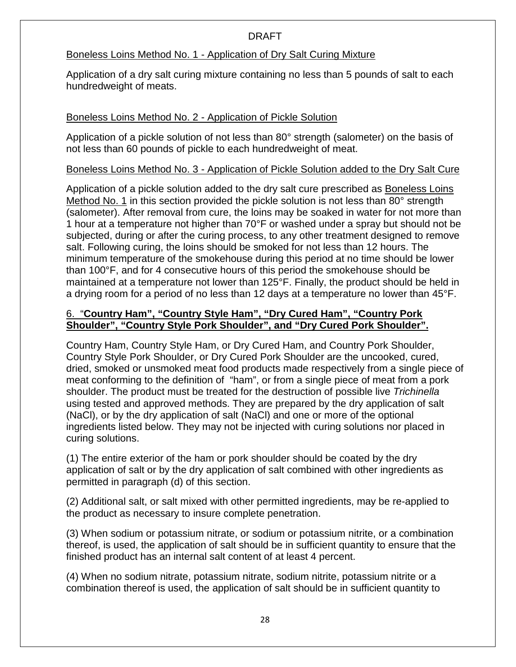#### Boneless Loins Method No. 1 - Application of Dry Salt Curing Mixture

Application of a dry salt curing mixture containing no less than 5 pounds of salt to each hundredweight of meats.

## Boneless Loins Method No. 2 - Application of Pickle Solution

Application of a pickle solution of not less than 80° strength (salometer) on the basis of not less than 60 pounds of pickle to each hundredweight of meat.

## Boneless Loins Method No. 3 - Application of Pickle Solution added to the Dry Salt Cure

Application of a pickle solution added to the dry salt cure prescribed as Boneless Loins Method No. 1 in this section provided the pickle solution is not less than 80° strength (salometer). After removal from cure, the loins may be soaked in water for not more than 1 hour at a temperature not higher than 70°F or washed under a spray but should not be subjected, during or after the curing process, to any other treatment designed to remove salt. Following curing, the loins should be smoked for not less than 12 hours. The minimum temperature of the smokehouse during this period at no time should be lower than 100°F, and for 4 consecutive hours of this period the smokehouse should be maintained at a temperature not lower than 125°F. Finally, the product should be held in a drying room for a period of no less than 12 days at a temperature no lower than 45°F.

## 6. "**Country Ham", "Country Style Ham", "Dry Cured Ham", "Country Pork Shoulder", "Country Style Pork Shoulder", and "Dry Cured Pork Shoulder".**

Country Ham, Country Style Ham, or Dry Cured Ham, and Country Pork Shoulder, Country Style Pork Shoulder, or Dry Cured Pork Shoulder are the uncooked, cured, dried, smoked or unsmoked meat food products made respectively from a single piece of meat conforming to the definition of "ham", or from a single piece of meat from a pork shoulder. The product must be treated for the destruction of possible live *Trichinella* using tested and approved methods. They are prepared by the dry application of salt (NaCl), or by the dry application of salt (NaCl) and one or more of the optional ingredients listed below. They may not be injected with curing solutions nor placed in curing solutions.

(1) The entire exterior of the ham or pork shoulder should be coated by the dry application of salt or by the dry application of salt combined with other ingredients as permitted in paragraph (d) of this section.

(2) Additional salt, or salt mixed with other permitted ingredients, may be re-applied to the product as necessary to insure complete penetration.

(3) When sodium or potassium nitrate, or sodium or potassium nitrite, or a combination thereof, is used, the application of salt should be in sufficient quantity to ensure that the finished product has an internal salt content of at least 4 percent.

(4) When no sodium nitrate, potassium nitrate, sodium nitrite, potassium nitrite or a combination thereof is used, the application of salt should be in sufficient quantity to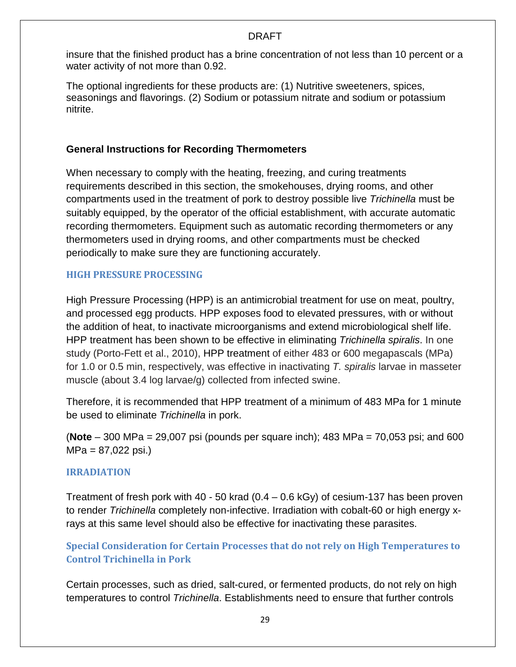insure that the finished product has a brine concentration of not less than 10 percent or a water activity of not more than 0.92.

The optional ingredients for these products are: (1) Nutritive sweeteners, spices, seasonings and flavorings. (2) Sodium or potassium nitrate and sodium or potassium nitrite.

## **General Instructions for Recording Thermometers**

When necessary to comply with the heating, freezing, and curing treatments requirements described in this section, the smokehouses, drying rooms, and other compartments used in the treatment of pork to destroy possible live *Trichinella* must be suitably equipped, by the operator of the official establishment, with accurate automatic recording thermometers. Equipment such as automatic recording thermometers or any thermometers used in drying rooms, and other compartments must be checked periodically to make sure they are functioning accurately.

## <span id="page-33-0"></span>**HIGH PRESSURE PROCESSING**

High Pressure Processing (HPP) is an antimicrobial treatment for use on meat, poultry, and processed egg products. HPP exposes food to elevated pressures, with or without the addition of heat, to inactivate microorganisms and extend microbiological shelf life. HPP treatment has been shown to be effective in eliminating *Trichinella spiralis*. In one study (Porto-Fett et al., 2010), HPP treatment of either 483 or 600 megapascals (MPa) for 1.0 or 0.5 min, respectively, was effective in inactivating *T. spiralis* larvae in masseter muscle (about 3.4 log larvae/g) collected from infected swine.

Therefore, it is recommended that HPP treatment of a minimum of 483 MPa for 1 minute be used to eliminate *Trichinella* in pork.

(**Note** – 300 MPa = 29,007 psi (pounds per square inch); 483 MPa = 70,053 psi; and 600  $MPa = 87,022$  psi.)

## <span id="page-33-1"></span>**IRRADIATION**

Treatment of fresh pork with 40 - 50 krad (0.4 – 0.6 kGy) of cesium-137 has been proven to render *Trichinella* completely non-infective. Irradiation with cobalt-60 or high energy xrays at this same level should also be effective for inactivating these parasites.

<span id="page-33-2"></span>**Special Consideration for Certain Processes that do not rely on High Temperatures to Control Trichinella in Pork**

Certain processes, such as dried, salt-cured, or fermented products, do not rely on high temperatures to control *Trichinella*. Establishments need to ensure that further controls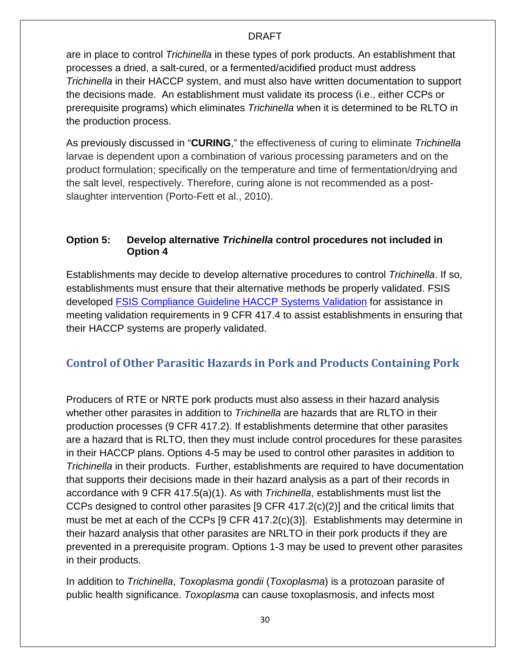<span id="page-34-2"></span>are in place to control *Trichinella* in these types of pork products. An establishment that processes a dried, a salt-cured, or a fermented/acidified product must address *Trichinella* in their HACCP system, and must also have written documentation to support the decisions made. An establishment must validate its process (i.e., either CCPs or prerequisite programs) which eliminates *Trichinella* when it is determined to be RLTO in the production process.

As previously discussed in "**CURING**," the effectiveness of curing to eliminate *Trichinella*  larvae is dependent upon a combination of various processing parameters and on the product formulation; specifically on the temperature and time of fermentation/drying and the salt level, respectively. Therefore, curing alone is not recommended as a postslaughter intervention (Porto-Fett et al., 2010).

## <span id="page-34-0"></span>**Option 5: Develop alternative** *Trichinella* **control procedures not included in Option 4**

Establishments may decide to develop alternative procedures to control *Trichinella*. If so, establishments must ensure that their alternative methods be properly validated. FSIS developed [FSIS Compliance Guideline HACCP Systems Validation](http://www.fsis.usda.gov/wps/wcm/connect/a70bb780-e1ff-4a35-9a9a-3fb40c8fe584/HACCP_Systems_Validation.pdf?MOD=AJPERES) for assistance in meeting validation requirements in 9 CFR 417.4 to assist establishments in ensuring that their HACCP systems are properly validated.

## <span id="page-34-1"></span>**Control of Other Parasitic Hazards in Pork and Products Containing Pork**

Producers of RTE or NRTE pork products must also assess in their hazard analysis whether other parasites in addition to *Trichinella* are hazards that are RLTO in their production processes (9 CFR 417.2). If establishments determine that other parasites are a hazard that is RLTO, then they must include control procedures for these parasites in their HACCP plans. Options 4-5 may be used to control other parasites in addition to *Trichinella* in their products. Further, establishments are required to have documentation that supports their decisions made in their hazard analysis as a part of their records in accordance with 9 CFR 417.5(a)(1). As with *Trichinella*, establishments must list the CCPs designed to control other parasites [9 CFR 417.2(c)(2)] and the critical limits that must be met at each of the CCPs [9 CFR 417.2(c)(3)]. Establishments may determine in their hazard analysis that other parasites are NRLTO in their pork products if they are prevented in a prerequisite program. Options 1-3 may be used to prevent other parasites in their products.

In addition to *Trichinella*, *Toxoplasma gondii* (*Toxoplasma*) is a protozoan parasite of public health significance. *Toxoplasma* can cause toxoplasmosis, and infects most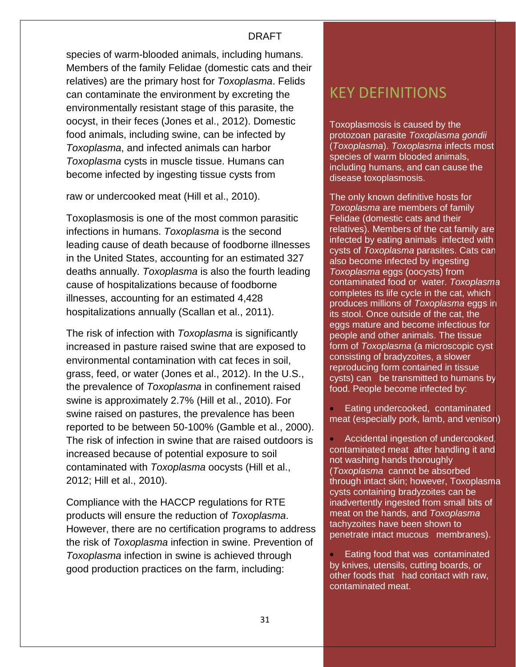species of warm-blooded animals, including humans. Members of the family Felidae (domestic cats and their relatives) are the primary host for *Toxoplasma*. Felids can contaminate the environment by excreting the environmentally resistant stage of this parasite, the oocyst, in their feces (Jones et al., 2012). Domestic food animals, including swine, can be infected by *Toxoplasma*, and infected animals can harbor *Toxoplasma* cysts in muscle tissue. Humans can become infected by ingesting tissue cysts from

raw or undercooked meat (Hill et al., 2010).

Toxoplasmosis is one of the most common parasitic infections in humans. *Toxoplasma* is the second leading cause of death because of foodborne illnesses in the United States, accounting for an estimated 327 deaths annually. *Toxoplasma* is also the fourth leading cause of hospitalizations because of foodborne illnesses, accounting for an estimated 4,428 hospitalizations annually (Scallan et al., 2011).

The risk of infection with *Toxoplasma* is significantly increased in pasture raised swine that are exposed to environmental contamination with cat feces in soil, grass, feed, or water (Jones et al., 2012). In the U.S., the prevalence of *Toxoplasma* in confinement raised swine is approximately 2.7% (Hill et al., 2010). For swine raised on pastures, the prevalence has been reported to be between 50-100% (Gamble et al., 2000). The risk of infection in swine that are raised outdoors is increased because of potential exposure to soil contaminated with *Toxoplasma* oocysts (Hill et al., 2012; Hill et al., 2010).

Compliance with the HACCP regulations for RTE products will ensure the reduction of *Toxoplasma*. However, there are no certification programs to address the risk of *Toxoplasma* infection in swine. Prevention of *Toxoplasma* infection in swine is achieved through good production practices on the farm, including:

## KEY DEFINITIONS

Toxoplasmosis is caused by the protozoan parasite *Toxoplasma gondii* (*Toxoplasma*). *Toxoplasma* infects most species of warm blooded animals, including humans, and can cause the disease toxoplasmosis.

The only known definitive hosts for *Toxoplasma* are members of family Felidae (domestic cats and their relatives). Members of the cat family are infected by eating animals infected with cysts of *Toxoplasma* parasites. Cats can also become infected by ingesting *Toxoplasma* eggs (oocysts) from contaminated food or water. *Toxoplasma*  completes its life cycle in the cat, which produces millions of *Toxoplasma* eggs in its stool. Once outside of the cat, the eggs mature and become infectious for people and other animals. The tissue form of *Toxoplasma* (a microscopic cyst consisting of bradyzoites, a slower reproducing form contained in tissue cysts) can be transmitted to humans by food. People become infected by:

• Eating undercooked, contaminated meat (especially pork, lamb, and venison)

• Accidental ingestion of undercooked, contaminated meat after handling it and not washing hands thoroughly (*Toxoplasma* cannot be absorbed through intact skin; however, Toxoplasma cysts containing bradyzoites can be inadvertently ingested from small bits of meat on the hands, and *Toxoplasma* tachyzoites have been shown to penetrate intact mucous membranes).

• Eating food that was contaminated by knives, utensils, cutting boards, or other foods that had contact with raw, contaminated meat.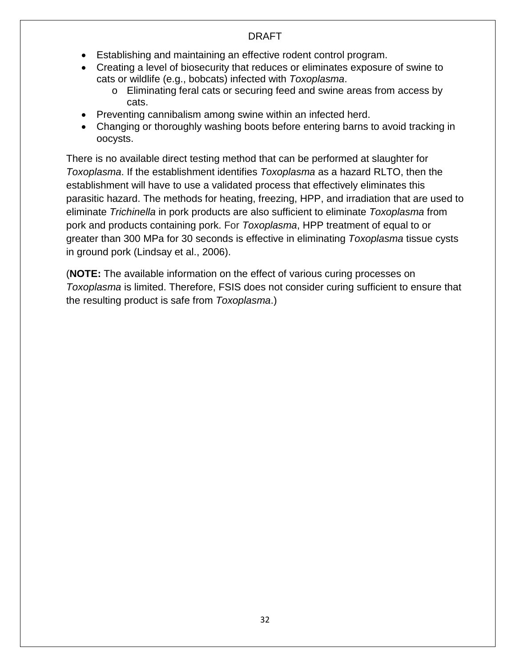- Establishing and maintaining an effective rodent control program.
- Creating a level of biosecurity that reduces or eliminates exposure of swine to cats or wildlife (e.g., bobcats) infected with *Toxoplasma*.
	- o Eliminating feral cats or securing feed and swine areas from access by cats.
- Preventing cannibalism among swine within an infected herd.
- Changing or thoroughly washing boots before entering barns to avoid tracking in oocysts.

There is no available direct testing method that can be performed at slaughter for *Toxoplasma*. If the establishment identifies *Toxoplasma* as a hazard RLTO, then the establishment will have to use a validated process that effectively eliminates this parasitic hazard. The methods for heating, freezing, HPP, and irradiation that are used to eliminate *Trichinella* in pork products are also sufficient to eliminate *Toxoplasma* from pork and products containing pork. For *Toxoplasma*, HPP treatment of equal to or greater than 300 MPa for 30 seconds is effective in eliminating *Toxoplasma* tissue cysts in ground pork (Lindsay et al., 2006).

(**NOTE:** The available information on the effect of various curing processes on *Toxoplasma* is limited. Therefore, FSIS does not consider curing sufficient to ensure that the resulting product is safe from *Toxoplasma*.)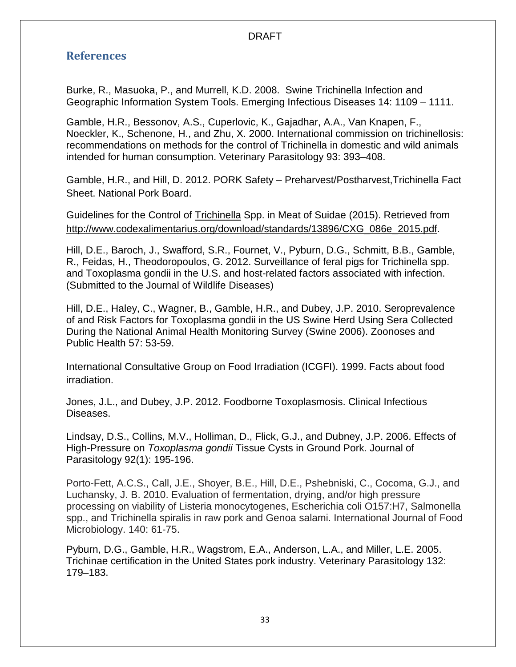## <span id="page-37-0"></span>**References**

Burke, R., Masuoka, P., and Murrell, K.D. 2008. Swine Trichinella Infection and Geographic Information System Tools. Emerging Infectious Diseases 14: 1109 – 1111.

Gamble, H.R., Bessonov, A.S., Cuperlovic, K., Gajadhar, A.A., Van Knapen, F., Noeckler, K., Schenone, H., and Zhu, X. 2000. International commission on trichinellosis: recommendations on methods for the control of Trichinella in domestic and wild animals intended for human consumption. Veterinary Parasitology 93: 393–408.

Gamble, H.R., and Hill, D. 2012. PORK Safety – Preharvest/Postharvest,Trichinella Fact Sheet. National Pork Board.

Guidelines for the Control of Trichinella Spp. in Meat of Suidae (2015). Retrieved from [http://www.codexalimentarius.org/download/standards/13896/CXG\\_086e\\_2015.pdf.](http://www.codexalimentarius.org/download/standards/13896/CXG_086e_2015.pdf)

Hill, D.E., Baroch, J., Swafford, S.R., Fournet, V., Pyburn, D.G., Schmitt, B.B., Gamble, R., Feidas, H., Theodoropoulos, G. 2012. Surveillance of feral pigs for Trichinella spp. and Toxoplasma gondii in the U.S. and host-related factors associated with infection. (Submitted to the Journal of Wildlife Diseases)

Hill, D.E., Haley, C., Wagner, B., Gamble, H.R., and Dubey, J.P. 2010. Seroprevalence of and Risk Factors for Toxoplasma gondii in the US Swine Herd Using Sera Collected During the National Animal Health Monitoring Survey (Swine 2006). Zoonoses and Public Health 57: 53-59.

International Consultative Group on Food Irradiation (ICGFI). 1999. Facts about food irradiation.

Jones, J.L., and Dubey, J.P. 2012. Foodborne Toxoplasmosis. Clinical Infectious Diseases.

Lindsay, D.S., Collins, M.V., Holliman, D., Flick, G.J., and Dubney, J.P. 2006. Effects of High-Pressure on *Toxoplasma gondii* Tissue Cysts in Ground Pork. Journal of Parasitology 92(1): 195-196.

Porto-Fett, A.C.S., Call, J.E., Shoyer, B.E., Hill, D.E., Pshebniski, C., Cocoma, G.J., and Luchansky, J. B. 2010. Evaluation of fermentation, drying, and/or high pressure processing on viability of Listeria monocytogenes, Escherichia coli O157:H7, Salmonella spp., and Trichinella spiralis in raw pork and Genoa salami. International Journal of Food Microbiology. 140: 61-75.

Pyburn, D.G., Gamble, H.R., Wagstrom, E.A., Anderson, L.A., and Miller, L.E. 2005. Trichinae certification in the United States pork industry. Veterinary Parasitology 132: 179–183.